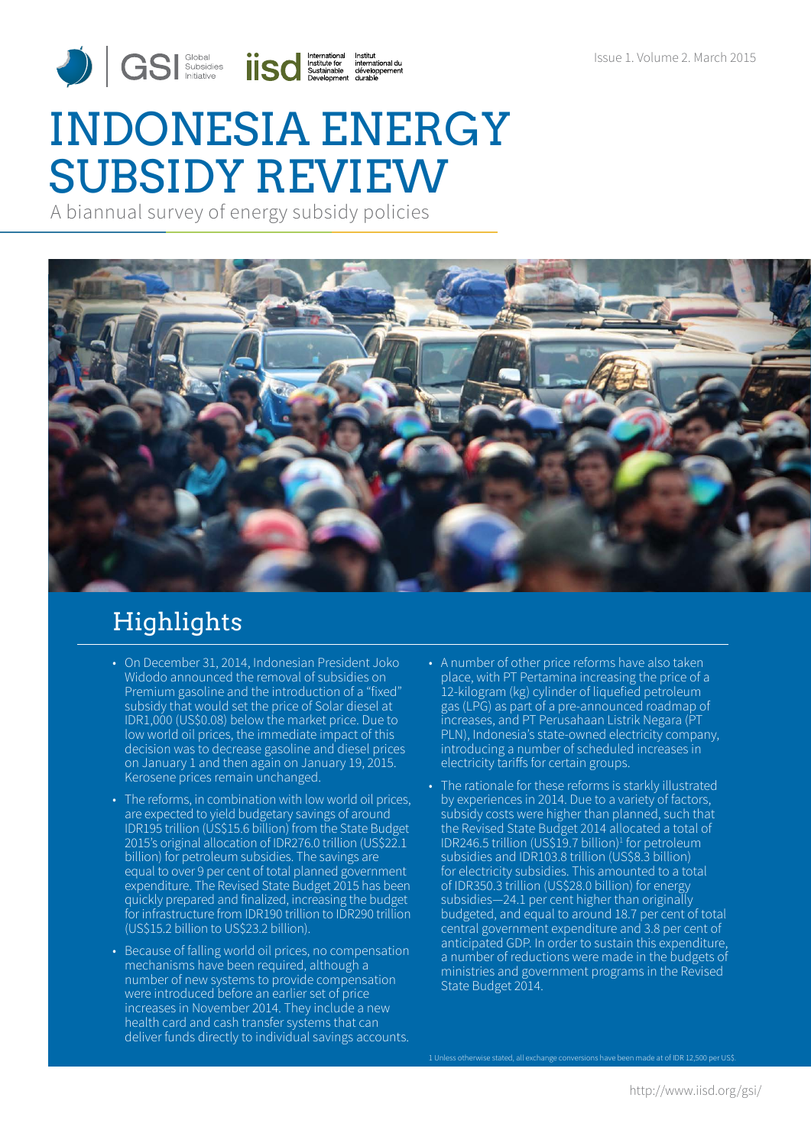# INDONESIA ENERGY SUBSIDY REVIEW

A biannual survey of energy subsidy policies



## Highlights

- On December 31, 2014, Indonesian President Joko Widodo announced the removal of subsidies on Premium gasoline and the introduction of a "fixed" subsidy that would set the price of Solar diesel at IDR1,000 (US\$0.08) below the market price. Due to low world oil prices, the immediate impact of this decision was to decrease gasoline and diesel prices on January 1 and then again on January 19, 2015. Kerosene prices remain unchanged.
- The reforms, in combination with low world oil prices, are expected to yield budgetary savings of around IDR195 trillion (US\$15.6 billion) from the State Budget 2015's original allocation of IDR276.0 trillion (US\$22.1 billion) for petroleum subsidies. The savings are equal to over 9 per cent of total planned government expenditure. The Revised State Budget 2015 has been quickly prepared and finalized, increasing the budget for infrastructure from IDR190 trillion to IDR290 trillion (US\$15.2 billion to US\$23.2 billion).
- Because of falling world oil prices, no compensation mechanisms have been required, although a number of new systems to provide compensation were introduced before an earlier set of price increases in November 2014. They include a new health card and cash transfer systems that can deliver funds directly to individual savings accounts.
- A number of other price reforms have also taken place, with PT Pertamina increasing the price of a 12-kilogram (kg) cylinder of liquefied petroleum gas (LPG) as part of a pre-announced roadmap of increases, and PT Perusahaan Listrik Negara (PT PLN), Indonesia's state-owned electricity company, introducing a number of scheduled increases in electricity tariffs for certain groups.
- The rationale for these reforms is starkly illustrated by experiences in 2014. Due to a variety of factors, subsidy costs were higher than planned, such that the Revised State Budget 2014 allocated a total of IDR246.5 trillion (US\$19.7 billion)<sup>1</sup> for petroleum subsidies and IDR103.8 trillion (US\$8.3 billion) for electricity subsidies. This amounted to a total of IDR350.3 trillion (US\$28.0 billion) for energy subsidies-24.1 per cent higher than originally budgeted, and equal to around 18.7 per cent of total central government expenditure and 3.8 per cent of anticipated GDP. In order to sustain this expenditure, a number of reductions were made in the budgets of ministries and government programs in the Revised State Budget 2014.

1 Unless otherwise stated, all exchange conversions have been made at of IDR 12,500 per US\$.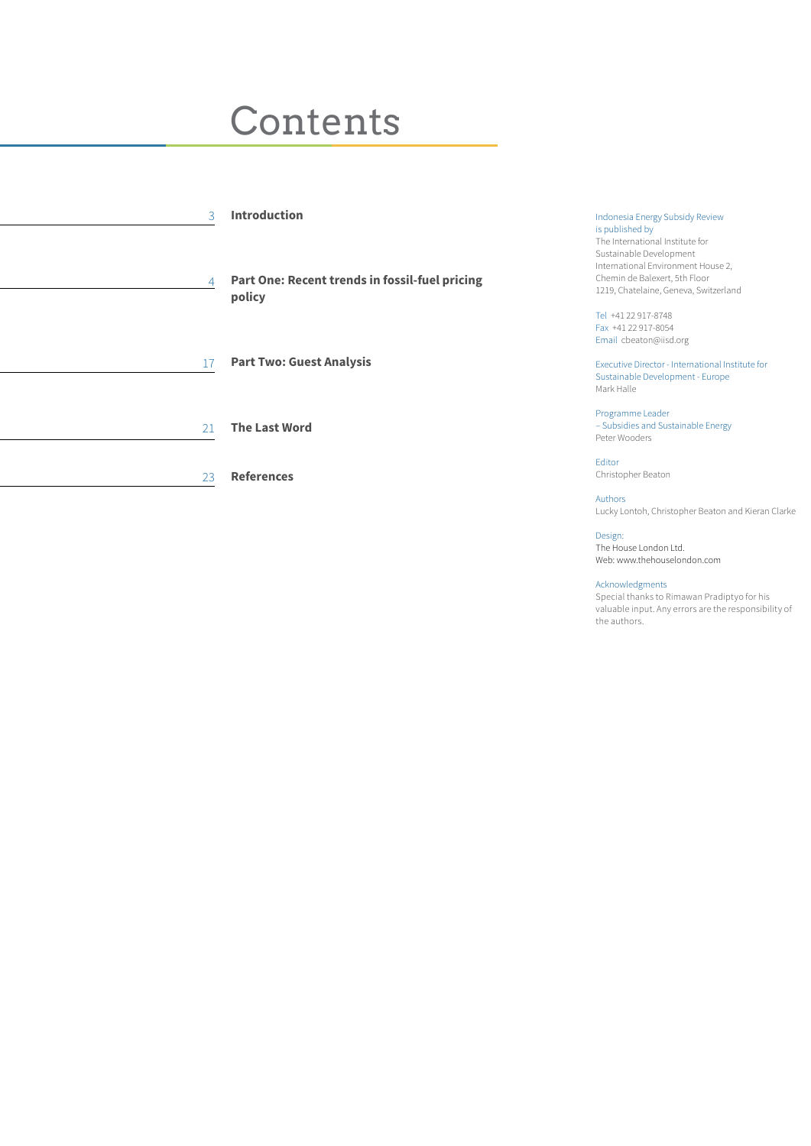## **Contents**

| 3  | <b>Introduction</b>                                      | Indonesia Energy Subsidy Review<br>is published by<br>The International Institute for<br>Sustainable Development<br>International Environment House 2, |
|----|----------------------------------------------------------|--------------------------------------------------------------------------------------------------------------------------------------------------------|
| 4  | Part One: Recent trends in fossil-fuel pricing<br>policy | Chemin de Balexert, 5th Floor<br>1219, Chatelaine, Geneva, Switzerland                                                                                 |
|    |                                                          | Tel +41 22 917-8748<br>Fax +41 22 917-8054<br>Email cbeaton@iisd.org                                                                                   |
| 17 | <b>Part Two: Guest Analysis</b>                          | Executive Director - International Institute for<br>Sustainable Development - Europe<br>Mark Halle                                                     |
| 21 | <b>The Last Word</b>                                     | Programme Leader<br>- Subsidies and Sustainable Energy<br>Peter Wooders                                                                                |
| 23 | <b>References</b>                                        | Editor<br>Christopher Beaton                                                                                                                           |
|    |                                                          | Authors                                                                                                                                                |

Design: The House London Ltd. Web: www.thehouselondon.com

Acknowledgments<br>Special thanks to Rimawan Pradiptyo for his Special thanks to Rimawan Pradiptyo for his valuable input. Any errors are the responsibility of the authors.

Lucky Lontoh, Christopher Beaton and Kieran Clarke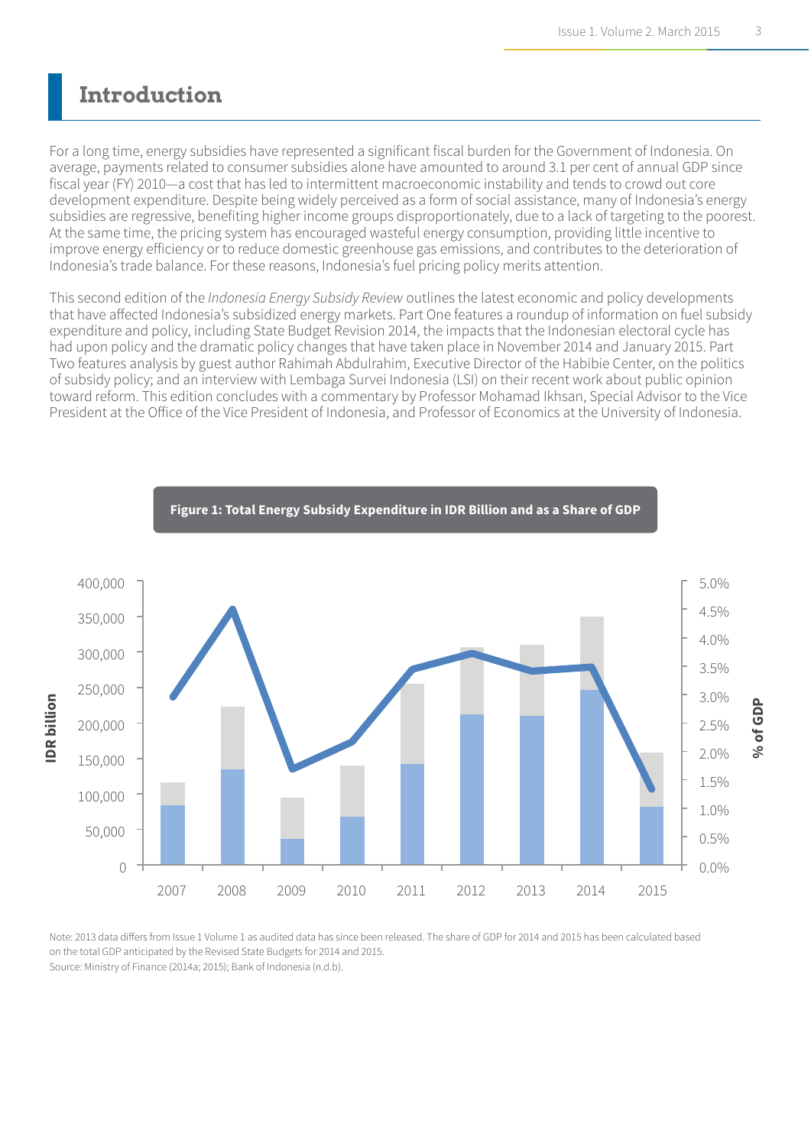### **Introduction**

For a long time, energy subsidies have represented a significant fiscal burden for the Government of Indonesia. On average, payments related to consumer subsidies alone have amounted to around 3.1 per cent of annual GDP since fiscal year (FY) 2010—a cost that has led to intermittent macroeconomic instability and tends to crowd out core development expenditure. Despite being widely perceived as a form of social assistance, many of Indonesia's energy subsidies are regressive, benefiting higher income groups disproportionately, due to a lack of targeting to the poorest. At the same time, the pricing system has encouraged wasteful energy consumption, providing little incentive to improve energy efficiency or to reduce domestic greenhouse gas emissions, and contributes to the deterioration of Indonesia's trade balance. For these reasons, Indonesia's fuel pricing policy merits attention.

This second edition of the *Indonesia Energy Subsidy Review* outlines the latest economic and policy developments that have affected Indonesia's subsidized energy markets. Part One features a roundup of information on fuel subsidy expenditure and policy, including State Budget Revision 2014, the impacts that the Indonesian electoral cycle has had upon policy and the dramatic policy changes that have taken place in November 2014 and January 2015. Part Two features analysis by guest author Rahimah Abdulrahim, Executive Director of the Habibie Center, on the politics of subsidy policy; and an interview with Lembaga Survei Indonesia (LSI) on their recent work about public opinion toward reform. This edition concludes with a commentary by Professor Mohamad Ikhsan, Special Advisor to the Vice President at the Office of the Vice President of Indonesia, and Professor of Economics at the University of Indonesia.



**Figure 1: Total Energy Subsidy Expenditure in IDR Billion and as a Share of GDP**

Note: 2013 data differs from Issue 1 Volume 1 as audited data has since been released. The share of GDP for 2014 and 2015 has been calculated based on the total GDP anticipated by the Revised State Budgets for 2014 and 2015. on the total GDP anticipated by the Revised State Budgets for 2014 and 2015.<br>Source: Ministry of Finance (2014a; 2015); Bank of Indonesia (n.d.b).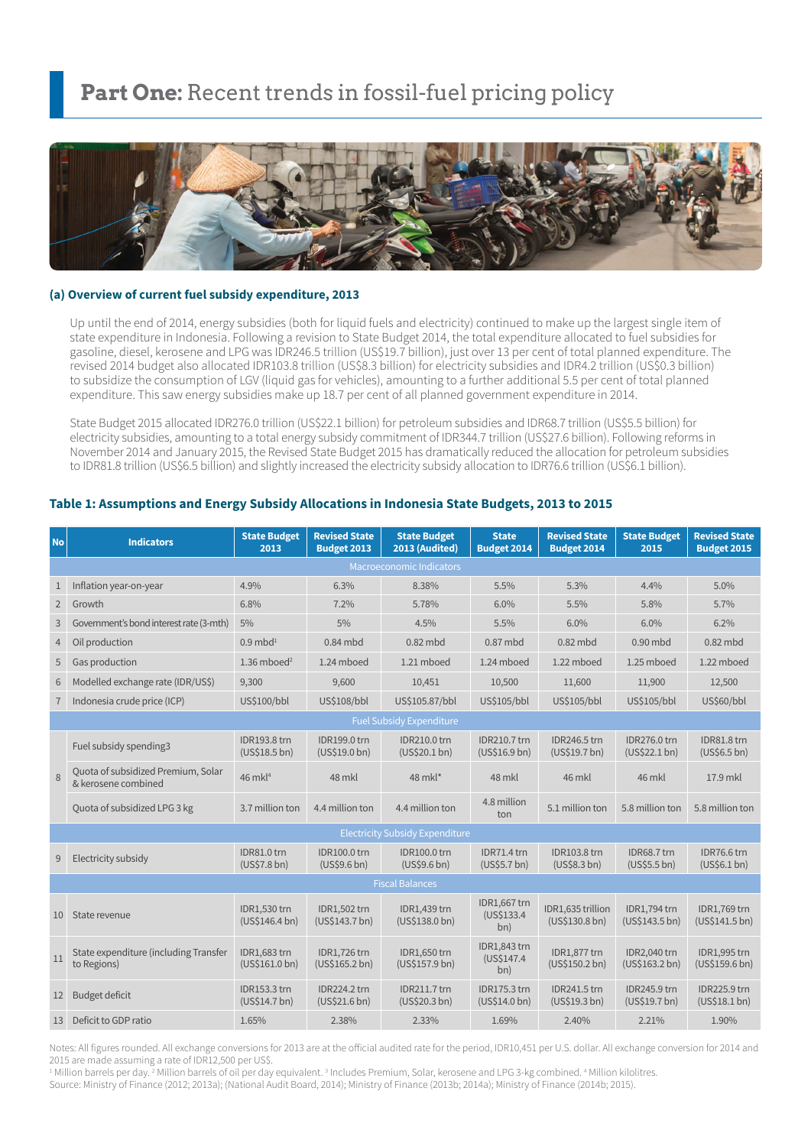### Part One: Recent trends in fossil-fuel pricing policy



#### **(a) Overview of current fuel subsidy expenditure, 2013**

Up until the end of 2014, energy subsidies (both for liquid fuels and electricity) continued to make up the largest single item of state expenditure in Indonesia. Following a revision to State Budget 2014, the total expenditure allocated to fuel subsidies for gasoline, diesel, kerosene and LPG was IDR246.5 trillion (US\$19.7 billion), just over 13 per cent of total planned expenditure. The revised 2014 budget also allocated IDR103.8 trillion (US\$8.3 billion) for electricity subsidies and IDR4.2 trillion (US\$0.3 billion) to subsidize the consumption of LGV (liquid gas for vehicles), amounting to a further additional 5.5 per cent of total planned expenditure. This saw energy subsidies make up 18.7 per cent of all planned government expenditure in 2014.

State Budget 2015 allocated IDR276.0 trillion (US\$22.1 billion) for petroleum subsidies and IDR68.7 trillion (US\$5.5 billion) for electricity subsidies, amounting to a total energy subsidy commitment of IDR344.7 trillion (US\$27.6 billion). Following reforms in November 2014 and January 2015, the Revised State Budget 2015 has dramatically reduced the allocation for petroleum subsidies to IDR81.8 trillion (US\$6.5 billion) and slightly increased the electricity subsidy allocation to IDR76.6 trillion (US\$6.1 billion).

#### **Table 1: Assumptions and Energy Subsidy Allocations in Indonesia State Budgets, 2013 to 2015**

| <b>No</b>         | <b>Indicators</b>                                         | <b>State Budget</b><br>2013          | <b>Revised State</b><br><b>Budget 2013</b> | <b>State Budget</b><br>2013 (Audited)  | <b>State</b><br><b>Budget 2014</b>   | <b>Revised State</b><br><b>Budget 2014</b> | <b>State Budget</b><br>2015          | <b>Revised State</b><br><b>Budget 2015</b> |  |  |
|-------------------|-----------------------------------------------------------|--------------------------------------|--------------------------------------------|----------------------------------------|--------------------------------------|--------------------------------------------|--------------------------------------|--------------------------------------------|--|--|
|                   |                                                           |                                      |                                            | <b>Macroeconomic Indicators</b>        |                                      |                                            |                                      |                                            |  |  |
| $\mathbf{1}$      | Inflation year-on-year                                    | 4.9%                                 | 6.3%                                       | 8.38%                                  | 5.5%                                 | 5.3%                                       | 4.4%                                 | 5.0%                                       |  |  |
| $\overline{2}$    | Growth                                                    | 6.8%                                 | 7.2%                                       | 5.78%                                  | 6.0%                                 | 5.5%                                       | 5.8%                                 | 5.7%                                       |  |  |
| 3                 | Government's bond interest rate (3-mth)                   | 5%                                   | 5%                                         | 4.5%                                   | 5.5%                                 | 6.0%                                       | 6.0%                                 | 6.2%                                       |  |  |
| $\overline{4}$    | Oil production                                            | $0.9 \text{ mbd}^1$                  | $0.84$ mbd                                 | $0.82$ mbd                             | $0.87$ mbd                           | $0.82$ mbd                                 | $0.90$ mbd                           | $0.82$ mbd                                 |  |  |
| 5                 | Gas production                                            | 1.36 mboed <sup>2</sup>              | 1.24 mboed                                 | 1.21 mboed                             | 1.24 mboed                           | 1.22 mboed                                 | 1.25 mboed                           | 1.22 mboed                                 |  |  |
| 6                 | Modelled exchange rate (IDR/US\$)                         | 9,300                                | 9,600                                      | 10,451                                 | 10,500                               | 11,600                                     | 11,900                               | 12,500                                     |  |  |
| $\overline{7}$    | Indonesia crude price (ICP)                               | US\$100/bbl                          | US\$108/bbl                                | US\$105.87/bbl                         | US\$105/bbl                          | US\$105/bbl                                | US\$105/bbl                          | US\$60/bbl                                 |  |  |
|                   | <b>Fuel Subsidy Expenditure</b>                           |                                      |                                            |                                        |                                      |                                            |                                      |                                            |  |  |
|                   | Fuel subsidy spending3                                    | <b>IDR193.8 trn</b><br>(US\$18.5 bh) | IDR199.0 trn<br>(US\$19.0 bh)              | <b>IDR210.0 trn</b><br>(USS20.1 bh)    | <b>IDR210.7 trn</b><br>(US\$16.9 bh) | <b>IDR246.5 trn</b><br>(US\$19.7 bh)       | IDR276.0 trn<br>(US\$22.1 bh)        | IDR81.8 trn<br>(US\$6.5 bh)                |  |  |
| 8                 | Quota of subsidized Premium, Solar<br>& kerosene combined | 46 mkl <sup>4</sup>                  | 48 mkl                                     | 48 mkl*                                | 48 mkl                               | 46 mkl                                     | 46 mkl                               | 17.9 mkl                                   |  |  |
|                   | Quota of subsidized LPG 3 kg                              | 3.7 million ton                      | 4.4 million ton                            | 4.4 million ton                        | 4.8 million<br>ton                   | 5.1 million ton                            | 5.8 million ton                      | 5.8 million ton                            |  |  |
|                   |                                                           |                                      |                                            | <b>Electricity Subsidy Expenditure</b> |                                      |                                            |                                      |                                            |  |  |
| 9                 | Electricity subsidy                                       | IDR81.0 trn<br>(US\$7.8 bh)          | <b>IDR100.0 trn</b><br>(US\$9.6 bh)        | <b>IDR100.0 trn</b><br>(US\$9.6 bh)    | IDR71.4 trn<br>(US\$5.7 bh)          | <b>IDR103.8 trn</b><br>(US\$8.3 bh)        | IDR68.7 trn<br>(US\$5.5 bh)          | IDR76.6 trn<br>(US\$6.1 bh)                |  |  |
|                   |                                                           |                                      |                                            | <b>Fiscal Balances</b>                 |                                      |                                            |                                      |                                            |  |  |
| 10                | State revenue                                             | IDR1,530 trn<br>(US\$146.4 bn)       | IDR1,502 trn<br>(US\$143.7 bn)             | IDR1,439 trn<br>(US\$138.0 bn)         | IDR1,667 trn<br>(US\$133.4)<br>bn)   | IDR1.635 trillion<br>(US\$130.8 bn)        | IDR1,794 trn<br>(US\$143.5 bn)       | <b>IDR1.769 trn</b><br>(US\$141.5 bh)      |  |  |
| 11                | State expenditure (including Transfer<br>to Regions)      | IDR1,683 trn<br>(US\$161.0 bn)       | IDR1,726 trn<br>(US\$165.2 bh)             | IDR1,650 trn<br>(US\$157.9 bn)         | IDR1,843 trn<br>(US\$147.4)<br>bn)   | IDR1,877 trn<br>(US\$150.2 bh)             | IDR2,040 trn<br>(US\$163.2 bn)       | IDR1,995 trn<br>(US\$159.6 bh)             |  |  |
| $12 \overline{ }$ | <b>Budget deficit</b>                                     | <b>IDR153.3 trn</b><br>(US\$14.7 bh) | <b>IDR224.2 trn</b><br>(US\$21.6 bn)       | <b>IDR211.7 trn</b><br>(US\$20.3 bh)   | <b>IDR175.3 trn</b><br>(US\$14.0 bh) | <b>IDR241.5 trn</b><br>(US\$19.3 bh)       | <b>IDR245.9 trn</b><br>(US\$19.7 bh) | <b>IDR225.9 trn</b><br>(US\$18.1 bh)       |  |  |
| 13                | Deficit to GDP ratio                                      | 1.65%                                | 2.38%                                      | 2.33%                                  | 1.69%                                | 2.40%                                      | 2.21%                                | 1.90%                                      |  |  |

Notes: All figures rounded. All exchange conversions for 2013 are at the official audited rate for the period, IDR10,451 per U.S. dollar. All exchange conversion for 2014 and 2015 are made assuming a rate of IDR12,500 per US\$.

<sup>1</sup> Million barrels per day. <sup>2</sup> Million barrels of oil per day equivalent. <sup>3</sup> Includes Premium, Solar, kerosene and LPG 3-kg combined. <sup>4</sup> Million kilolitres. Source: Ministry of Finance (2012; 2013a); (National Audit Board, 2014); Ministry of Finance (2013b; 2014a); Ministry of Finance (2014b; 2015).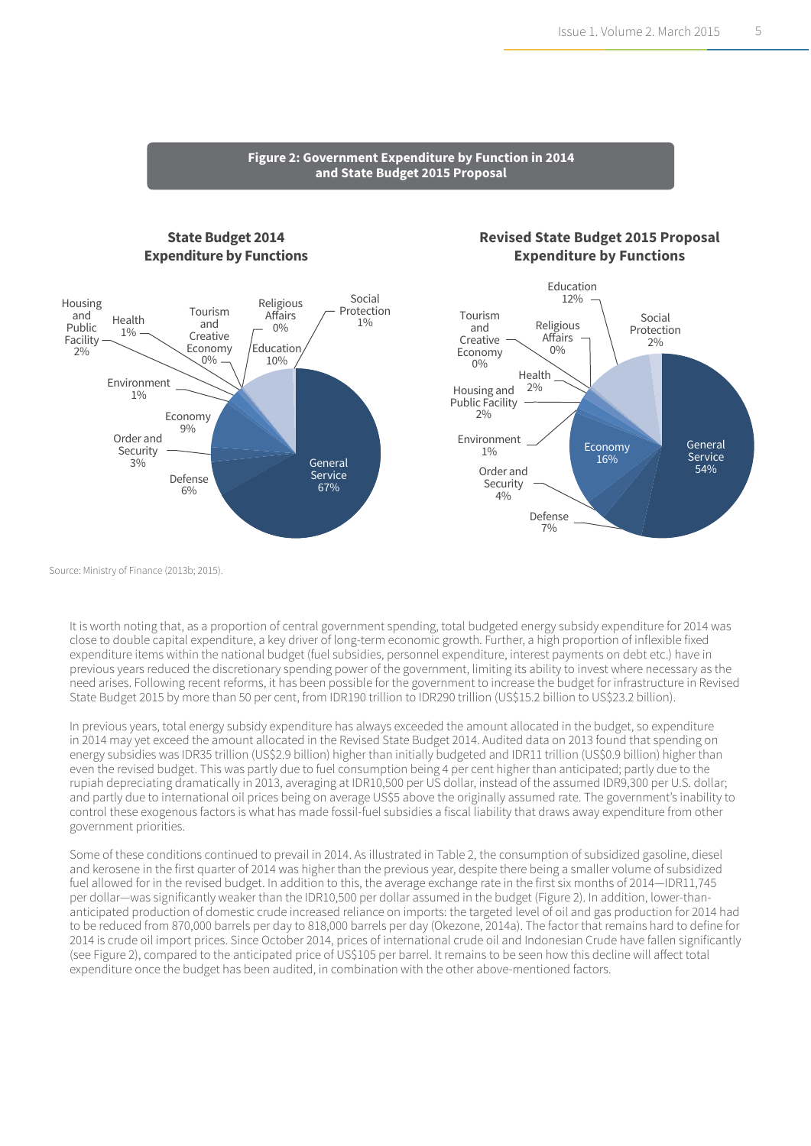#### **Figure 2: Government Expenditure by Function in 2014 and State Budget 2015 Proposal**

#### **State Budget 2014 Expenditure by Functions**



#### **Revised State Budget 2015 Proposal Expenditure by Functions**



Source: Ministry of Finance (2013b; 2015).

It is worth noting that, as a proportion of central government spending, total budgeted energy subsidy expenditure for 2014 was close to double capital expenditure, a key driver of long-term economic growth. Further, a high proportion of inflexible fixed expenditure items within the national budget (fuel subsidies, personnel expenditure, interest payments on debt etc.) have in previous years reduced the discretionary spending power of the government, limiting its ability to invest where necessary as the need arises. Following recent reforms, it has been possible for the government to increase the budget for infrastructure in Revised State Budget 2015 by more than 50 per cent, from IDR190 trillion to IDR290 trillion (US\$15.2 billion to US\$23.2 billion).

In previous years, total energy subsidy expenditure has always exceeded the amount allocated in the budget, so expenditure in 2014 may yet exceed the amount allocated in the Revised State Budget 2014. Audited data on 2013 found that spending on energy subsidies was IDR35 trillion (US\$2.9 billion) higher than initially budgeted and IDR11 trillion (US\$0.9 billion) higher than even the revised budget. This was partly due to fuel consumption being 4 per cent higher than anticipated; partly due to the rupiah depreciating dramatically in 2013, averaging at IDR10,500 per US dollar, instead of the assumed IDR9,300 per U.S. dollar; and partly due to international oil prices being on average US\$5 above the originally assumed rate. The government's inability to control these exogenous factors is what has made fossil-fuel subsidies a fiscal liability that draws away expenditure from other government priorities.

Some of these conditions continued to prevail in 2014. As illustrated in Table 2, the consumption of subsidized gasoline, diesel and kerosene in the first quarter of 2014 was higher than the previous year, despite there being a smaller volume of subsidized fuel allowed for in the revised budget. In addition to this, the average exchange rate in the first six months of 2014—IDR11,745 per dollar—was significantly weaker than the IDR10,500 per dollar assumed in the budget (Figure 2). In addition, lower-thananticipated production of domestic crude increased reliance on imports: the targeted level of oil and gas production for 2014 had to be reduced from 870,000 barrels per day to 818,000 barrels per day (Okezone, 2014a). The factor that remains hard to define for 2014 is crude oil import prices. Since October 2014, prices of international crude oil and Indonesian Crude have fallen significantly (see Figure 2), compared to the anticipated price of US\$105 per barrel. It remains to be seen how this decline will affect total expenditure once the budget has been audited, in combination with the other above-mentioned factors.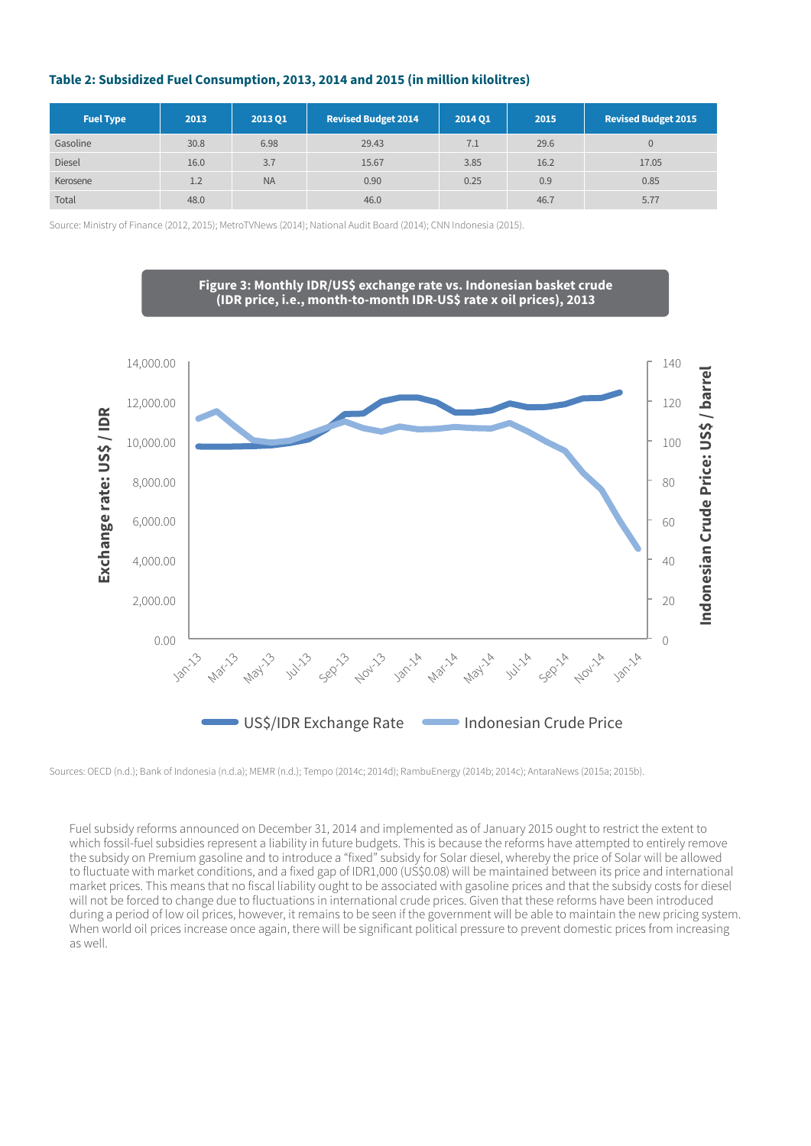#### **Table 2: Subsidized Fuel Consumption, 2013, 2014 and 2015 (in million kilolitres)**

| <b>Fuel Type</b> | 2013 | 2013 Q1   | <b>Revised Budget 2014</b> | 2014 01 | 2015 | <b>Revised Budget 2015</b> |
|------------------|------|-----------|----------------------------|---------|------|----------------------------|
| Gasoline         | 30.8 | 6.98      | 29.43                      | 7.1     | 29.6 | $\mathbf{0}$               |
| <b>Diesel</b>    | 16.0 | 3.7       | 15.67                      | 3.85    | 16.2 | 17.05                      |
| Kerosene         | 1.2  | <b>NA</b> | 0.90                       | 0.25    | 0.9  | 0.85                       |
| Total            | 48.0 |           | 46.0                       |         | 46.7 | 5.77                       |

Source: Ministry of Finance (2012, 2015); MetroTVNews (2014); National Audit Board (2014); CNN Indonesia (2015).



Sources: OECD (n.d.); Bank of Indonesia (n.d.a); MEMR (n.d.); Tempo (2014c; 2014d); RambuEnergy (2014b; 2014c); AntaraNews (2015a; 2015b).

Fuel subsidy reforms announced on December 31, 2014 and implemented as of January 2015 ought to restrict the extent to which fossil-fuel subsidies represent a liability in future budgets. This is because the reforms have attempted to entirely remove the subsidy on Premium gasoline and to introduce a "fixed" subsidy for Solar diesel, whereby the price of Solar will be allowed to fluctuate with market conditions, and a fixed gap of IDR1,000 (US\$0.08) will be maintained between its price and international market prices. This means that no fiscal liability ought to be associated with gasoline prices and that the subsidy costs for diesel will not be forced to change due to fluctuations in international crude prices. Given that these reforms have been introduced during a period of low oil prices, however, it remains to be seen if the government will be able to maintain the new pricing system. When world oil prices increase once again, there will be significant political pressure to prevent domestic prices from increasing as well.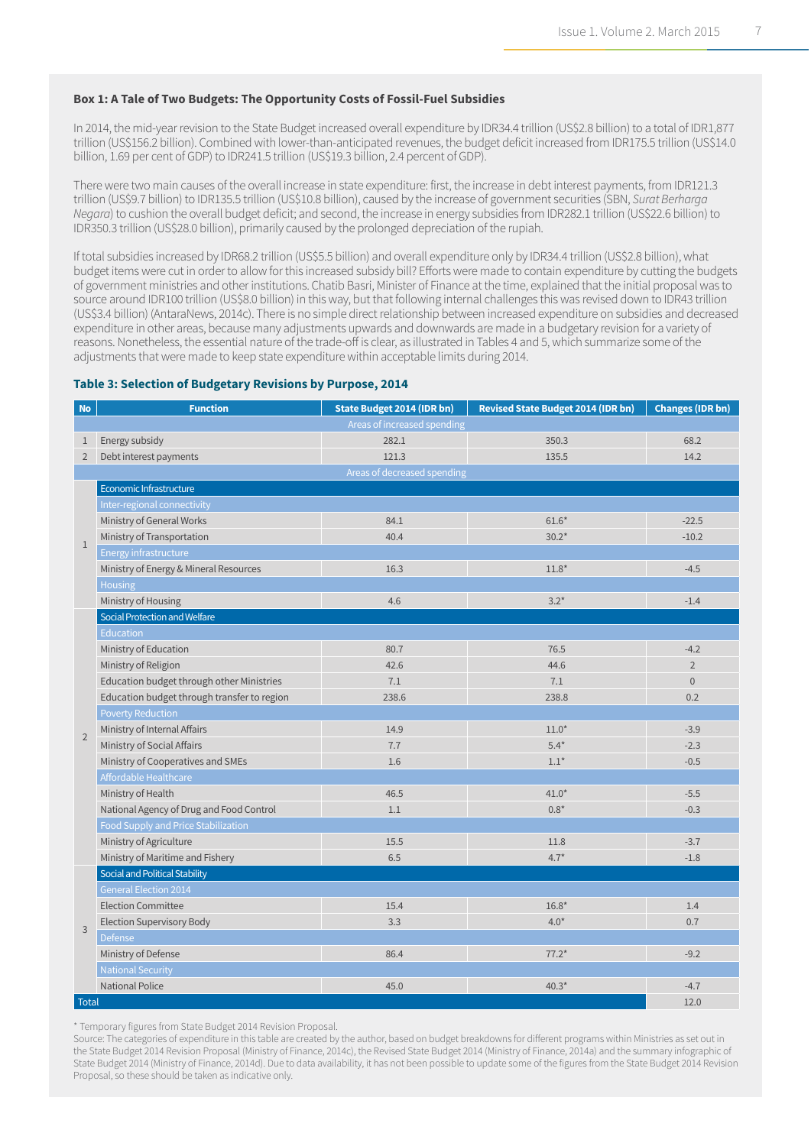#### **Box 1: A Tale of Two Budgets: The Opportunity Costs of Fossil-Fuel Subsidies**

In 2014, the mid-year revision to the State Budget increased overall expenditure by IDR34.4 trillion (US\$2.8 billion) to a total of IDR1,877 trillion (US\$156.2 billion). Combined with lower-than-anticipated revenues, the budget deficit increased from IDR175.5 trillion (US\$14.0 billion, 1.69 per cent of GDP) to IDR241.5 trillion (US\$19.3 billion, 2.4 percent of GDP).

There were two main causes of the overall increase in state expenditure: first, the increase in debt interest payments, from IDR121.3 trillion (US\$9.7 billion) to IDR135.5 trillion (US\$10.8 billion), caused by the increase of government securities (SBN, *Surat Berharga Negara*) to cushion the overall budget deficit; and second, the increase in energy subsidies from IDR282.1 trillion (US\$22.6 billion) to IDR350.3 trillion (US\$28.0 billion), primarily caused by the prolonged depreciation of the rupiah.

If total subsidies increased by IDR68.2 trillion (US\$5.5 billion) and overall expenditure only by IDR34.4 trillion (US\$2.8 billion), what budget items were cut in order to allow for this increased subsidy bill? Efforts were made to contain expenditure by cutting the budgets of government ministries and other institutions. Chatib Basri, Minister of Finance at the time, explained that the initial proposal was to source around IDR100 trillion (US\$8.0 billion) in this way, but that following internal challenges this was revised down to IDR43 trillion (US\$3.4 billion) (AntaraNews, 2014c). There is no simple direct relationship between increased expenditure on subsidies and decreased expenditure in other areas, because many adjustments upwards and downwards are made in a budgetary revision for a variety of reasons. Nonetheless, the essential nature of the trade-off is clear, as illustrated in Tables 4 and 5, which summarize some of the adjustments that were made to keep state expenditure within acceptable limits during 2014.

#### **Table 3: Selection of Budgetary Revisions by Purpose, 2014**

| <b>No</b>      | <b>Function</b>                             | <b>State Budget 2014 (IDR bn)</b> | <b>Revised State Budget 2014 (IDR bn)</b> | <b>Changes (IDR bn)</b> |  |  |  |  |  |
|----------------|---------------------------------------------|-----------------------------------|-------------------------------------------|-------------------------|--|--|--|--|--|
|                |                                             | Areas of increased spending       |                                           |                         |  |  |  |  |  |
| $\mathbf{1}$   | Energy subsidy                              | 282.1                             | 350.3                                     | 68.2                    |  |  |  |  |  |
| $\overline{2}$ | Debt interest payments                      | 121.3                             | 135.5                                     | 14.2                    |  |  |  |  |  |
|                |                                             | Areas of decreased spending       |                                           |                         |  |  |  |  |  |
|                | Economic Infrastructure                     |                                   |                                           |                         |  |  |  |  |  |
|                | Inter-regional connectivity                 |                                   |                                           |                         |  |  |  |  |  |
|                | Ministry of General Works                   | 84.1                              | $61.6*$                                   | $-22.5$                 |  |  |  |  |  |
| $\mathbf{1}$   | Ministry of Transportation                  | 40.4                              | $30.2*$                                   | $-10.2$                 |  |  |  |  |  |
|                | Energy infrastructure                       |                                   |                                           |                         |  |  |  |  |  |
|                | Ministry of Energy & Mineral Resources      | 16.3                              | $11.8*$                                   | $-4.5$                  |  |  |  |  |  |
|                | Housing                                     |                                   |                                           |                         |  |  |  |  |  |
|                | Ministry of Housing                         | 4.6                               | $3.2*$                                    | $-1.4$                  |  |  |  |  |  |
|                | Social Protection and Welfare               |                                   |                                           |                         |  |  |  |  |  |
|                | <b>Education</b>                            |                                   |                                           |                         |  |  |  |  |  |
|                | Ministry of Education                       | 80.7                              | 76.5                                      | $-4.2$                  |  |  |  |  |  |
|                | Ministry of Religion                        | 42.6                              | 44.6                                      | $\overline{2}$          |  |  |  |  |  |
|                | Education budget through other Ministries   | 7.1                               | 7.1                                       | $\overline{0}$          |  |  |  |  |  |
|                | Education budget through transfer to region | 238.6                             | 238.8                                     | 0.2                     |  |  |  |  |  |
|                | <b>Poverty Reduction</b>                    |                                   |                                           |                         |  |  |  |  |  |
| $\overline{2}$ | Ministry of Internal Affairs                | 14.9                              | $11.0*$                                   | $-3.9$                  |  |  |  |  |  |
|                | Ministry of Social Affairs                  | 7.7                               | $5.4*$                                    | $-2.3$                  |  |  |  |  |  |
|                | Ministry of Cooperatives and SMEs           | 1.6                               | $1.1*$                                    | $-0.5$                  |  |  |  |  |  |
|                | Affordable Healthcare                       |                                   |                                           |                         |  |  |  |  |  |
|                | Ministry of Health                          | 46.5                              | $41.0*$                                   | $-5.5$                  |  |  |  |  |  |
|                | National Agency of Drug and Food Control    | 1.1                               | $0.8*$                                    | $-0.3$                  |  |  |  |  |  |
|                | Food Supply and Price Stabilization         |                                   |                                           |                         |  |  |  |  |  |
|                | Ministry of Agriculture                     | 15.5                              | 11.8                                      | $-3.7$                  |  |  |  |  |  |
|                | Ministry of Maritime and Fishery            | 6.5                               | $4.7*$                                    | $-1.8$                  |  |  |  |  |  |
|                | Social and Political Stability              |                                   |                                           |                         |  |  |  |  |  |
|                | <b>General Election 2014</b>                |                                   |                                           |                         |  |  |  |  |  |
|                | <b>Election Committee</b>                   | 15.4                              | $16.8*$                                   | 1.4                     |  |  |  |  |  |
| 3              | <b>Election Supervisory Body</b>            | 3.3                               | $4.0*$                                    | 0.7                     |  |  |  |  |  |
|                | <b>Defense</b>                              |                                   |                                           |                         |  |  |  |  |  |
|                | Ministry of Defense                         | 86.4                              | $77.2*$                                   | $-9.2$                  |  |  |  |  |  |
|                | <b>National Security</b>                    |                                   |                                           |                         |  |  |  |  |  |
|                | <b>National Police</b>                      | 45.0                              | $40.3*$                                   | $-4.7$                  |  |  |  |  |  |
| <b>Total</b>   |                                             |                                   |                                           | 12.0                    |  |  |  |  |  |

\* Temporary figures from State Budget 2014 Revision Proposal.

Source: The categories of expenditure in this table are created by the author, based on budget breakdowns for different programs within Ministries as set out in the State Budget 2014 Revision Proposal (Ministry of Finance, 2014c), the Revised State Budget 2014 (Ministry of Finance, 2014a) and the summary infographic of State Budget 2014 (Ministry of Finance, 2014d). Due to data availability, it has not been possible to update some of the figures from the State Budget 2014 Revision Proposal, so these should be taken as indicative only.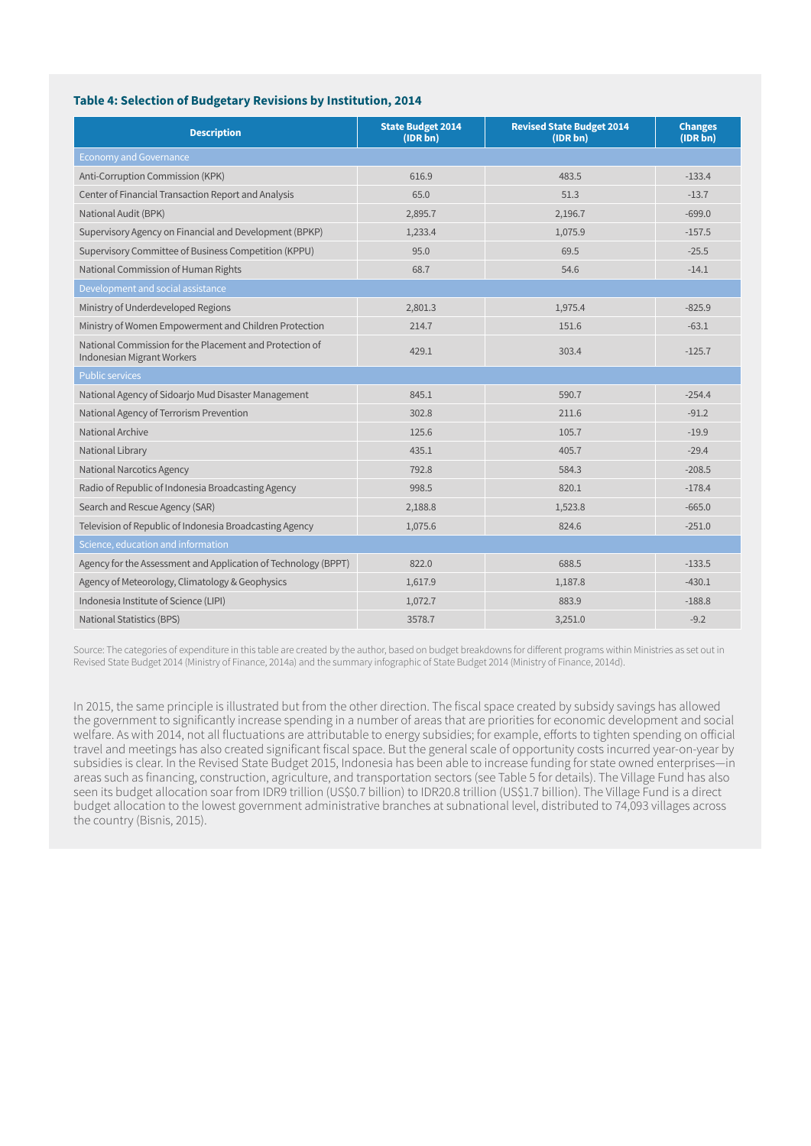#### **Table 4: Selection of Budgetary Revisions by Institution, 2014**

| <b>Description</b>                                                                    | <b>State Budget 2014</b><br>(IDR bn) | <b>Revised State Budget 2014</b><br>(IDR bn) | <b>Changes</b><br>(IDR bn) |
|---------------------------------------------------------------------------------------|--------------------------------------|----------------------------------------------|----------------------------|
| <b>Economy and Governance</b>                                                         |                                      |                                              |                            |
| Anti-Corruption Commission (KPK)                                                      | 616.9                                | 483.5                                        | $-133.4$                   |
| Center of Financial Transaction Report and Analysis                                   | 65.0                                 | 51.3                                         | $-13.7$                    |
| National Audit (BPK)                                                                  | 2,895.7                              | 2,196.7                                      | $-699.0$                   |
| Supervisory Agency on Financial and Development (BPKP)                                | 1,233.4                              | 1,075.9                                      | $-157.5$                   |
| Supervisory Committee of Business Competition (KPPU)                                  | 95.0                                 | 69.5                                         | $-25.5$                    |
| National Commission of Human Rights                                                   | 68.7                                 | 54.6                                         | $-14.1$                    |
| Development and social assistance                                                     |                                      |                                              |                            |
| Ministry of Underdeveloped Regions                                                    | 2,801.3                              | 1,975.4                                      | $-825.9$                   |
| Ministry of Women Empowerment and Children Protection                                 | 214.7                                | 151.6                                        | $-63.1$                    |
| National Commission for the Placement and Protection of<br>Indonesian Migrant Workers | 429.1                                | 303.4                                        | $-125.7$                   |
| <b>Public services</b>                                                                |                                      |                                              |                            |
| National Agency of Sidoarjo Mud Disaster Management                                   | 845.1                                | 590.7                                        | $-254.4$                   |
| National Agency of Terrorism Prevention                                               | 302.8                                | 211.6                                        | $-91.2$                    |
| National Archive                                                                      | 125.6                                | 105.7                                        | $-19.9$                    |
| National Library                                                                      | 435.1                                | 405.7                                        | $-29.4$                    |
| <b>National Narcotics Agency</b>                                                      | 792.8                                | 584.3                                        | $-208.5$                   |
| Radio of Republic of Indonesia Broadcasting Agency                                    | 998.5                                | 820.1                                        | $-178.4$                   |
| Search and Rescue Agency (SAR)                                                        | 2,188.8                              | 1,523.8                                      | $-665.0$                   |
| Television of Republic of Indonesia Broadcasting Agency                               | 1,075.6                              | 824.6                                        | $-251.0$                   |
| Science, education and information                                                    |                                      |                                              |                            |
| Agency for the Assessment and Application of Technology (BPPT)                        | 822.0                                | 688.5                                        | $-133.5$                   |
| Agency of Meteorology, Climatology & Geophysics                                       | 1,617.9                              | 1,187.8                                      | $-430.1$                   |
| Indonesia Institute of Science (LIPI)                                                 | 1,072.7                              | 883.9                                        | $-188.8$                   |
| <b>National Statistics (BPS)</b>                                                      | 3578.7                               | 3,251.0                                      | $-9.2$                     |

Source: The categories of expenditure in this table are created by the author, based on budget breakdowns for different programs within Ministries as set out in Revised State Budget 2014 (Ministry of Finance, 2014a) and the summary infographic of State Budget 2014 (Ministry of Finance, 2014d).

In 2015, the same principle is illustrated but from the other direction. The fiscal space created by subsidy savings has allowed the government to significantly increase spending in a number of areas that are priorities for economic development and social welfare. As with 2014, not all fluctuations are attributable to energy subsidies; for example, efforts to tighten spending on official travel and meetings has also created significant fiscal space. But the general scale of opportunity costs incurred year-on-year by subsidies is clear. In the Revised State Budget 2015, Indonesia has been able to increase funding for state owned enterprises―in areas such as financing, construction, agriculture, and transportation sectors (see Table 5 for details). The Village Fund has also seen its budget allocation soar from IDR9 trillion (US\$0.7 billion) to IDR20.8 trillion (US\$1.7 billion). The Village Fund is a direct budget allocation to the lowest government administrative branches at subnational level, distributed to 74,093 villages across the country (Bisnis, 2015).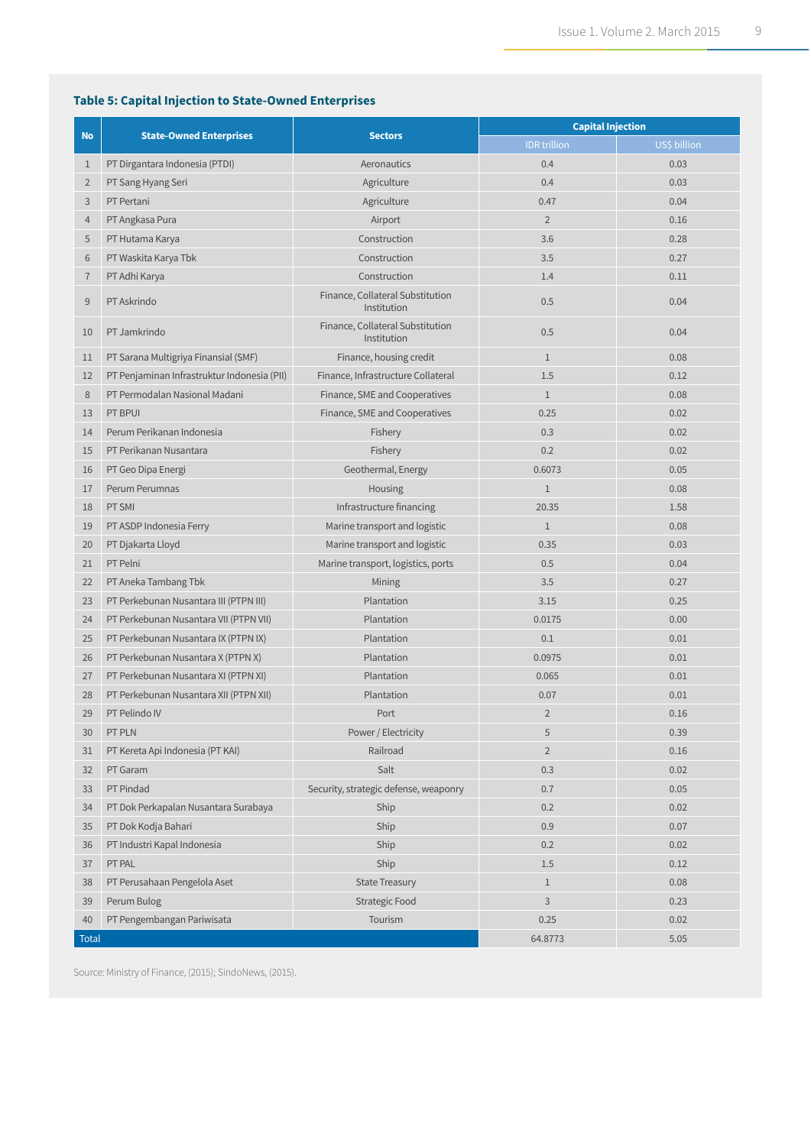#### **Table 5: Capital Injection to State-Owned Enterprises**

|                |                                             |                                                 | <b>Capital Injection</b> |              |  |  |
|----------------|---------------------------------------------|-------------------------------------------------|--------------------------|--------------|--|--|
| <b>No</b>      | <b>State-Owned Enterprises</b>              | <b>Sectors</b>                                  | <b>IDR</b> trillion      | US\$ billion |  |  |
| $\mathbf{1}$   | PT Dirgantara Indonesia (PTDI)              | Aeronautics                                     | 0.4                      | 0.03         |  |  |
| $\overline{2}$ | PT Sang Hyang Seri                          | Agriculture                                     | 0.4                      | 0.03         |  |  |
| 3              | PT Pertani                                  | Agriculture                                     | 0.47                     | 0.04         |  |  |
| $\overline{4}$ | PT Angkasa Pura                             | Airport                                         | $\overline{2}$           | 0.16         |  |  |
| 5              | PT Hutama Karya                             | Construction                                    | 3.6                      | 0.28         |  |  |
| 6              | PT Waskita Karya Tbk                        | Construction                                    | 3.5                      | 0.27         |  |  |
| $\overline{7}$ | PT Adhi Karya                               | Construction                                    | 1.4                      | 0.11         |  |  |
| 9              | PT Askrindo                                 | Finance, Collateral Substitution<br>Institution | 0.5                      | 0.04         |  |  |
| 10             | PT Jamkrindo                                | Finance, Collateral Substitution<br>Institution | 0.5                      | 0.04         |  |  |
| 11             | PT Sarana Multigriya Finansial (SMF)        | Finance, housing credit                         | $\mathbf{1}$             | 0.08         |  |  |
| 12             | PT Penjaminan Infrastruktur Indonesia (PII) | Finance, Infrastructure Collateral              | 1.5                      | 0.12         |  |  |
| 8              | PT Permodalan Nasional Madani               | Finance, SME and Cooperatives                   | $\mathbf{1}$             | 0.08         |  |  |
| 13             | PT BPUI                                     | Finance, SME and Cooperatives                   | 0.25                     | 0.02         |  |  |
| 14             | Perum Perikanan Indonesia                   | Fishery                                         | 0.3                      | 0.02         |  |  |
| 15             | PT Perikanan Nusantara                      | Fishery                                         | 0.2                      | 0.02         |  |  |
| 16             | PT Geo Dipa Energi                          | Geothermal, Energy                              | 0.6073                   | 0.05         |  |  |
| 17             | Perum Perumnas                              | Housing                                         | $1\,$                    | 0.08         |  |  |
| 18             | PT SMI                                      | Infrastructure financing                        | 20.35                    | 1.58         |  |  |
| 19             | PT ASDP Indonesia Ferry                     | Marine transport and logistic                   | $\mathbf{1}$             | 0.08         |  |  |
| 20             | PT Djakarta Lloyd                           | Marine transport and logistic                   | 0.35                     | 0.03         |  |  |
| 21             | PT Pelni                                    | Marine transport, logistics, ports              | 0.5                      | 0.04         |  |  |
| 22             | PT Aneka Tambang Tbk                        | Mining                                          | 3.5                      | 0.27         |  |  |
| 23             | PT Perkebunan Nusantara III (PTPN III)      | Plantation                                      | 3.15                     | 0.25         |  |  |
| 24             | PT Perkebunan Nusantara VII (PTPN VII)      | Plantation                                      | 0.0175                   | 0.00         |  |  |
| 25             | PT Perkebunan Nusantara IX (PTPN IX)        | Plantation                                      | 0.1                      | 0.01         |  |  |
| 26             | PT Perkebunan Nusantara X (PTPN X)          | Plantation                                      | 0.0975                   | 0.01         |  |  |
| 27             | PT Perkebunan Nusantara XI (PTPN XI)        | Plantation                                      | 0.065                    | 0.01         |  |  |
| 28             | PT Perkebunan Nusantara XII (PTPN XII)      | Plantation                                      | 0.07                     | 0.01         |  |  |
| 29             | PT Pelindo IV                               | Port                                            | $\overline{2}$           | 0.16         |  |  |
| 30             | PT PLN                                      | Power / Electricity                             | 5                        | 0.39         |  |  |
| 31             | PT Kereta Api Indonesia (PT KAI)            | Railroad                                        | $\overline{2}$           | 0.16         |  |  |
| 32             | PT Garam                                    | Salt                                            | 0.3                      | 0.02         |  |  |
| 33             | PT Pindad                                   | Security, strategic defense, weaponry           | 0.7                      | 0.05         |  |  |
| 34             | PT Dok Perkapalan Nusantara Surabaya        | Ship                                            | 0.2                      | 0.02         |  |  |
| 35             | PT Dok Kodja Bahari                         | Ship                                            | 0.9                      | 0.07         |  |  |
| 36             | PT Industri Kapal Indonesia                 | Ship                                            | 0.2                      | 0.02         |  |  |
| 37             | PT PAL                                      | Ship                                            | 1.5                      | 0.12         |  |  |
| 38             | PT Perusahaan Pengelola Aset                | <b>State Treasury</b>                           | $\mathbf{1}$             | 0.08         |  |  |
| 39             | Perum Bulog                                 | <b>Strategic Food</b>                           | 3                        | 0.23         |  |  |
| 40             | PT Pengembangan Pariwisata                  | Tourism                                         | 0.25                     | 0.02         |  |  |
| <b>Total</b>   |                                             |                                                 | 64.8773                  | 5.05         |  |  |

Source: Ministry of Finance, (2015); SindoNews, (2015).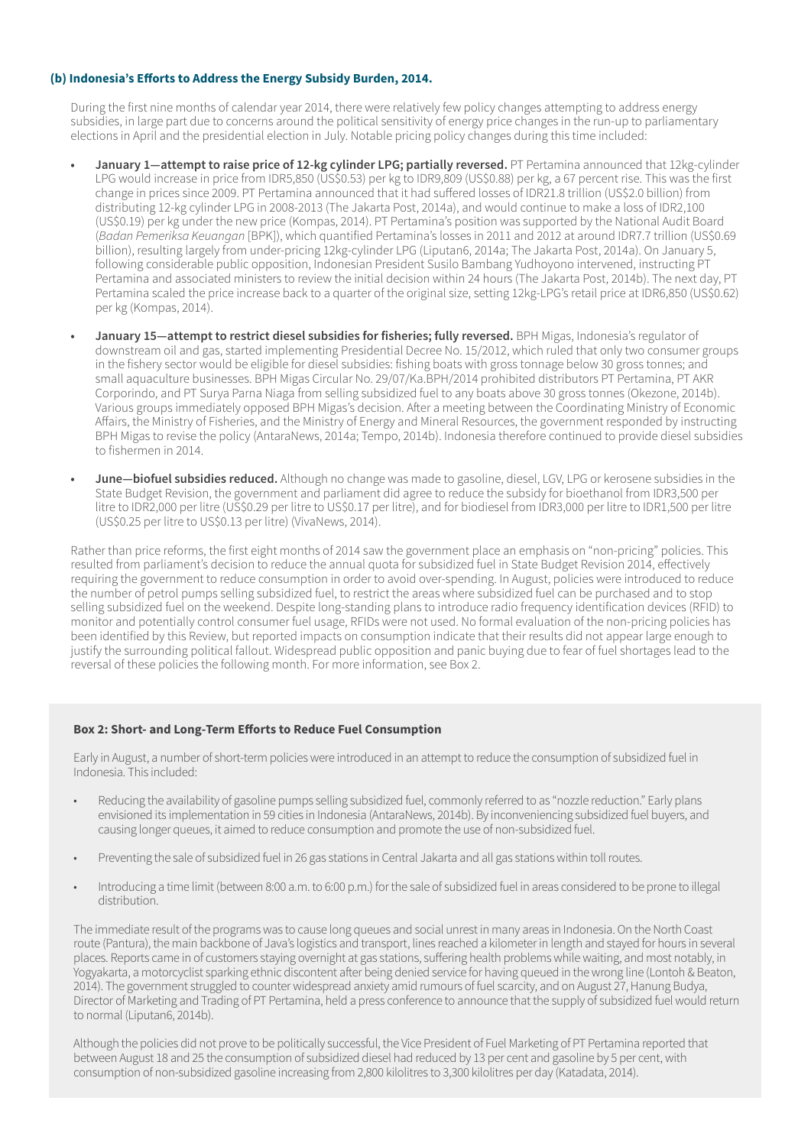#### **(b) Indonesia's Efforts to Address the Energy Subsidy Burden, 2014.**

During the first nine months of calendar year 2014, there were relatively few policy changes attempting to address energy subsidies, in large part due to concerns around the political sensitivity of energy price changes in the run-up to parliamentary elections in April and the presidential election in July. Notable pricing policy changes during this time included:

- **• January 1—attempt to raise price of 12-kg cylinder LPG; partially reversed.** PT Pertamina announced that 12kg-cylinder LPG would increase in price from IDR5,850 (US\$0.53) per kg to IDR9,809 (US\$0.88) per kg, a 67 percent rise. This was the first change in prices since 2009. PT Pertamina announced that it had suffered losses of IDR21.8 trillion (US\$2.0 billion) from distributing 12-kg cylinder LPG in 2008-2013 (The Jakarta Post, 2014a), and would continue to make a loss of IDR2,100 (US\$0.19) per kg under the new price (Kompas, 2014). PT Pertamina's position was supported by the National Audit Board (*Badan Pemeriksa Keuangan* [BPK]), which quantified Pertamina's losses in 2011 and 2012 at around IDR7.7 trillion (US\$0.69 billion), resulting largely from under-pricing 12kg-cylinder LPG (Liputan6, 2014a; The Jakarta Post, 2014a). On January 5, following considerable public opposition, Indonesian President Susilo Bambang Yudhoyono intervened, instructing PT Pertamina and associated ministers to review the initial decision within 24 hours (The Jakarta Post, 2014b). The next day, PT Pertamina scaled the price increase back to a quarter of the original size, setting 12kg-LPG's retail price at IDR6,850 (US\$0.62) per kg (Kompas, 2014).
- **• January 15—attempt to restrict diesel subsidies for fisheries; fully reversed.** BPH Migas, Indonesia's regulator of downstream oil and gas, started implementing Presidential Decree No. 15/2012, which ruled that only two consumer groups in the fishery sector would be eligible for diesel subsidies: fishing boats with gross tonnage below 30 gross tonnes; and small aquaculture businesses. BPH Migas Circular No. 29/07/Ka.BPH/2014 prohibited distributors PT Pertamina, PT AKR Corporindo, and PT Surya Parna Niaga from selling subsidized fuel to any boats above 30 gross tonnes (Okezone, 2014b). Various groups immediately opposed BPH Migas's decision. After a meeting between the Coordinating Ministry of Economic Affairs, the Ministry of Fisheries, and the Ministry of Energy and Mineral Resources, the government responded by instructing BPH Migas to revise the policy (AntaraNews, 2014a; Tempo, 2014b). Indonesia therefore continued to provide diesel subsidies to fishermen in 2014.
- **• June—biofuel subsidies reduced.** Although no change was made to gasoline, diesel, LGV, LPG or kerosene subsidies in the State Budget Revision, the government and parliament did agree to reduce the subsidy for bioethanol from IDR3,500 per litre to IDR2,000 per litre (US\$0.29 per litre to US\$0.17 per litre), and for biodiesel from IDR3,000 per litre to IDR1,500 per litre (US\$0.25 per litre to US\$0.13 per litre) (VivaNews, 2014).

Rather than price reforms, the first eight months of 2014 saw the government place an emphasis on "non-pricing" policies. This resulted from parliament's decision to reduce the annual quota for subsidized fuel in State Budget Revision 2014, effectively requiring the government to reduce consumption in order to avoid over-spending. In August, policies were introduced to reduce the number of petrol pumps selling subsidized fuel, to restrict the areas where subsidized fuel can be purchased and to stop selling subsidized fuel on the weekend. Despite long-standing plans to introduce radio frequency identification devices (RFID) to monitor and potentially control consumer fuel usage, RFIDs were not used. No formal evaluation of the non-pricing policies has been identified by this Review, but reported impacts on consumption indicate that their results did not appear large enough to justify the surrounding political fallout. Widespread public opposition and panic buying due to fear of fuel shortages lead to the reversal of these policies the following month. For more information, see Box 2.

#### **Box 2: Short- and Long-Term Efforts to Reduce Fuel Consumption**

Early in August, a number of short-term policies were introduced in an attempt to reduce the consumption of subsidized fuel in Indonesia. This included:

- Reducing the availability of gasoline pumps selling subsidized fuel, commonly referred to as "nozzle reduction." Early plans envisioned its implementation in 59 cities in Indonesia (AntaraNews, 2014b). By inconveniencing subsidized fuel buyers, and causing longer queues, it aimed to reduce consumption and promote the use of non-subsidized fuel.
- Preventing the sale of subsidized fuel in 26 gas stations in Central Jakarta and all gas stations within toll routes.
- Introducing a time limit (between 8:00 a.m. to 6:00 p.m.) for the sale of subsidized fuel in areas considered to be prone to illegal distribution.

The immediate result of the programs was to cause long queues and social unrest in many areas in Indonesia. On the North Coast route (Pantura), the main backbone of Java's logistics and transport, lines reached a kilometer in length and stayed for hours in several places. Reports came in of customers staying overnight at gas stations, suffering health problems while waiting, and most notably, in Yogyakarta, a motorcyclist sparking ethnic discontent after being denied service for having queued in the wrong line (Lontoh & Beaton, 2014). The government struggled to counter widespread anxiety amid rumours of fuel scarcity, and on August 27, Hanung Budya, Director of Marketing and Trading of PT Pertamina, held a press conference to announce that the supply of subsidized fuel would return to normal (Liputan6, 2014b).

Although the policies did not prove to be politically successful, the Vice President of Fuel Marketing of PT Pertamina reported that between August 18 and 25 the consumption of subsidized diesel had reduced by 13 per cent and gasoline by 5 per cent, with consumption of non-subsidized gasoline increasing from 2,800 kilolitres to 3,300 kilolitres per day (Katadata, 2014).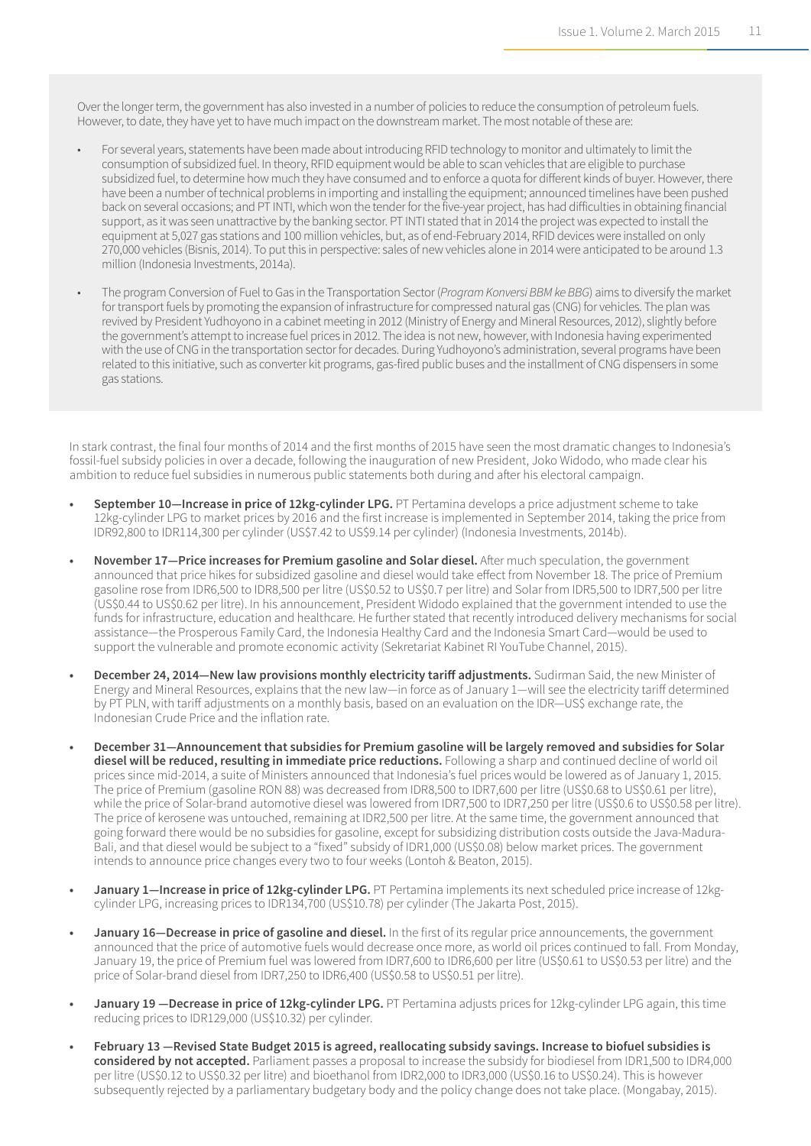Over the longer term, the government has also invested in a number of policies to reduce the consumption of petroleum fuels. However, to date, they have yet to have much impact on the downstream market. The most notable of these are:

- For several years, statements have been made about introducing RFID technology to monitor and ultimately to limit the consumption of subsidized fuel. In theory, RFID equipment would be able to scan vehicles that are eligible to purchase subsidized fuel, to determine how much they have consumed and to enforce a quota for different kinds of buyer. However, there have been a number of technical problems in importing and installing the equipment; announced timelines have been pushed back on several occasions; and PT INTI, which won the tender for the five-year project, has had difficulties in obtaining financial support, as it was seen unattractive by the banking sector. PT INTI stated that in 2014 the project was expected to install the equipment at 5,027 gas stations and 100 million vehicles, but, as of end-February 2014, RFID devices were installed on only 270,000 vehicles (Bisnis, 2014). To put this in perspective: sales of new vehicles alone in 2014 were anticipated to be around 1.3 million (Indonesia Investments, 2014a).
- The program Conversion of Fuel to Gas in the Transportation Sector (*Program Konversi BBM ke BBG*) aims to diversify the market for transport fuels by promoting the expansion of infrastructure for compressed natural gas (CNG) for vehicles. The plan was revived by President Yudhoyono in a cabinet meeting in 2012 (Ministry of Energy and Mineral Resources, 2012), slightly before the government's attempt to increase fuel prices in 2012. The idea is not new, however, with Indonesia having experimented with the use of CNG in the transportation sector for decades. During Yudhoyono's administration, several programs have been related to this initiative, such as converter kit programs, gas-fired public buses and the installment of CNG dispensers in some gas stations.

In stark contrast, the final four months of 2014 and the first months of 2015 have seen the most dramatic changes to Indonesia's fossil-fuel subsidy policies in over a decade, following the inauguration of new President, Joko Widodo, who made clear his ambition to reduce fuel subsidies in numerous public statements both during and after his electoral campaign.

- **• September 10―Increase in price of 12kg-cylinder LPG.** PT Pertamina develops a price adjustment scheme to take 12kg-cylinder LPG to market prices by 2016 and the first increase is implemented in September 2014, taking the price from IDR92,800 to IDR114,300 per cylinder (US\$7.42 to US\$9.14 per cylinder) (Indonesia Investments, 2014b).
- **• November 17―Price increases for Premium gasoline and Solar diesel.** After much speculation, the government announced that price hikes for subsidized gasoline and diesel would take effect from November 18. The price of Premium gasoline rose from IDR6,500 to IDR8,500 per litre (US\$0.52 to US\$0.7 per litre) and Solar from IDR5,500 to IDR7,500 per litre (US\$0.44 to US\$0.62 per litre). In his announcement, President Widodo explained that the government intended to use the funds for infrastructure, education and healthcare. He further stated that recently introduced delivery mechanisms for social assistance―the Prosperous Family Card, the Indonesia Healthy Card and the Indonesia Smart Card―would be used to support the vulnerable and promote economic activity (Sekretariat Kabinet RI YouTube Channel, 2015).
- **• December 24, 2014―New law provisions monthly electricity tariff adjustments.** Sudirman Said, the new Minister of Energy and Mineral Resources, explains that the new law―in force as of January 1―will see the electricity tariff determined by PT PLN, with tariff adjustments on a monthly basis, based on an evaluation on the IDR―US\$ exchange rate, the Indonesian Crude Price and the inflation rate.
- **• December 31―Announcement that subsidies for Premium gasoline will be largely removed and subsidies for Solar diesel will be reduced, resulting in immediate price reductions.** Following a sharp and continued decline of world oil prices since mid-2014, a suite of Ministers announced that Indonesia's fuel prices would be lowered as of January 1, 2015. The price of Premium (gasoline RON 88) was decreased from IDR8,500 to IDR7,600 per litre (US\$0.68 to US\$0.61 per litre), while the price of Solar-brand automotive diesel was lowered from IDR7,500 to IDR7,250 per litre (US\$0.6 to US\$0.58 per litre). The price of kerosene was untouched, remaining at IDR2,500 per litre. At the same time, the government announced that going forward there would be no subsidies for gasoline, except for subsidizing distribution costs outside the Java-Madura-Bali, and that diesel would be subject to a "fixed" subsidy of IDR1,000 (US\$0.08) below market prices. The government intends to announce price changes every two to four weeks (Lontoh & Beaton, 2015).
- **• January 1―Increase in price of 12kg-cylinder LPG.** PT Pertamina implements its next scheduled price increase of 12kgcylinder LPG, increasing prices to IDR134,700 (US\$10.78) per cylinder (The Jakarta Post, 2015).
- **• January 16—Decrease in price of gasoline and diesel.** In the first of its regular price announcements, the government announced that the price of automotive fuels would decrease once more, as world oil prices continued to fall. From Monday, January 19, the price of Premium fuel was lowered from IDR7,600 to IDR6,600 per litre (US\$0.61 to US\$0.53 per litre) and the price of Solar-brand diesel from IDR7,250 to IDR6,400 (US\$0.58 to US\$0.51 per litre).
- **• January 19 ―Decrease in price of 12kg-cylinder LPG.** PT Pertamina adjusts prices for 12kg-cylinder LPG again, this time reducing prices to IDR129,000 (US\$10.32) per cylinder.
- **• February 13 ―Revised State Budget 2015 is agreed, reallocating subsidy savings. Increase to biofuel subsidies is considered by not accepted.** Parliament passes a proposal to increase the subsidy for biodiesel from IDR1,500 to IDR4,000 per litre (US\$0.12 to US\$0.32 per litre) and bioethanol from IDR2,000 to IDR3,000 (US\$0.16 to US\$0.24). This is however subsequently rejected by a parliamentary budgetary body and the policy change does not take place. (Mongabay, 2015).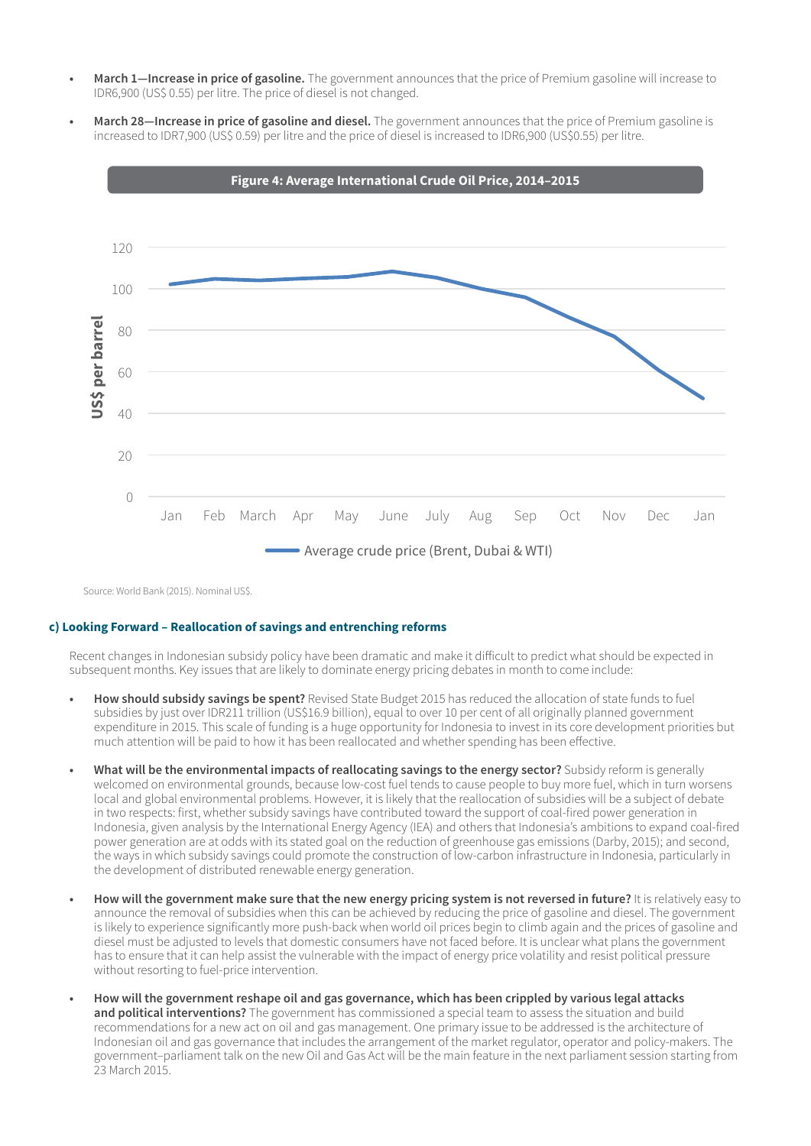- **• March 1—Increase in price of gasoline.** The government announces that the price of Premium gasoline will increase to IDR6,900 (US\$ 0.55) per litre. The price of diesel is not changed.
- **• March 28—Increase in price of gasoline and diesel.** The government announces that the price of Premium gasoline is increased to IDR7,900 (US\$ 0.59) per litre and the price of diesel is increased to IDR6,900 (US\$0.55) per litre.



Source: World Bank (2015). Nominal US\$.

#### **c) Looking Forward – Reallocation of savings and entrenching reforms**

Recent changes in Indonesian subsidy policy have been dramatic and make it difficult to predict what should be expected in subsequent months. Key issues that are likely to dominate energy pricing debates in month to come include:

- **• How should subsidy savings be spent?** Revised State Budget 2015 has reduced the allocation of state funds to fuel subsidies by just over IDR211 trillion (US\$16.9 billion), equal to over 10 per cent of all originally planned government expenditure in 2015. This scale of funding is a huge opportunity for Indonesia to invest in its core development priorities but much attention will be paid to how it has been reallocated and whether spending has been effective.
- **• What will be the environmental impacts of reallocating savings to the energy sector?** Subsidy reform is generally welcomed on environmental grounds, because low-cost fuel tends to cause people to buy more fuel, which in turn worsens local and global environmental problems. However, it is likely that the reallocation of subsidies will be a subject of debate in two respects: first, whether subsidy savings have contributed toward the support of coal-fired power generation in Indonesia, given analysis by the International Energy Agency (IEA) and others that Indonesia's ambitions to expand coal-fired power generation are at odds with its stated goal on the reduction of greenhouse gas emissions (Darby, 2015); and second, the ways in which subsidy savings could promote the construction of low-carbon infrastructure in Indonesia, particularly in the development of distributed renewable energy generation.
- **• How will the government make sure that the new energy pricing system is not reversed in future?** It is relatively easy to announce the removal of subsidies when this can be achieved by reducing the price of gasoline and diesel. The government is likely to experience significantly more push-back when world oil prices begin to climb again and the prices of gasoline and diesel must be adjusted to levels that domestic consumers have not faced before. It is unclear what plans the government has to ensure that it can help assist the vulnerable with the impact of energy price volatility and resist political pressure without resorting to fuel-price intervention.
- **• How will the government reshape oil and gas governance, which has been crippled by various legal attacks and political interventions?** The government has commissioned a special team to assess the situation and build recommendations for a new act on oil and gas management. One primary issue to be addressed is the architecture of Indonesian oil and gas governance that includes the arrangement of the market regulator, operator and policy-makers. The government–parliament talk on the new Oil and Gas Act will be the main feature in the next parliament session starting from 23 March 2015.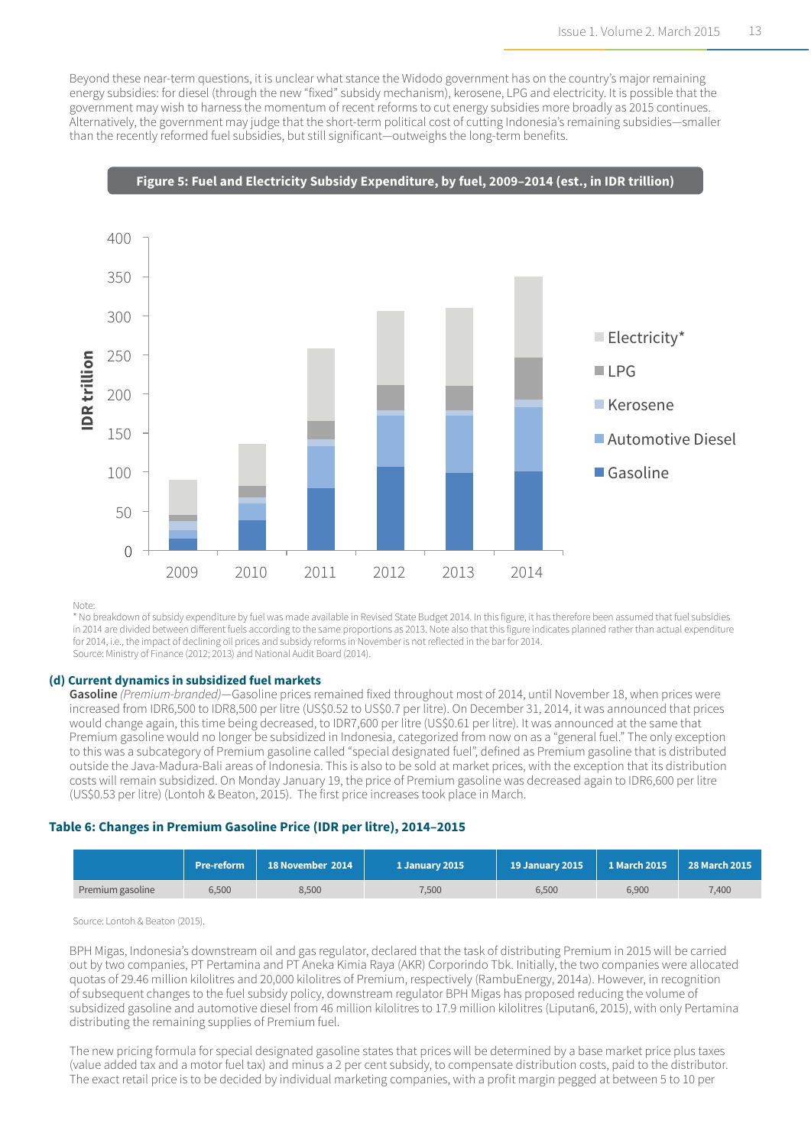Beyond these near-term questions, it is unclear what stance the Widodo government has on the country's major remaining energy subsidies: for diesel (through the new "fixed" subsidy mechanism), kerosene, LPG and electricity. It is possible that the government may wish to harness the momentum of recent reforms to cut energy subsidies more broadly as 2015 continues. Alternatively, the government may judge that the short-term political cost of cutting Indonesia's remaining subsidies―smaller than the recently reformed fuel subsidies, but still significant―outweighs the long-term benefits.



Note:

\* No breakdown of subsidy expenditure by fuel was made available in Revised State Budget 2014. In this figure, it has therefore been assumed that fuel subsidies in 2014 are divided between different fuels according to the same proportions as 2013. Note also that this figure indicates planned rather than actual expenditure for 2014, i.e., the impact of declining oil prices and subsidy reforms in November is not reflected in the bar for 2014. Source: Ministry of Finance (2012; 2013) and National Audit Board (2014).

#### **(d) Current dynamics in subsidized fuel markets**

**Gasoline** *(Premium-branded)*—Gasoline prices remained fixed throughout most of 2014, until November 18, when prices were increased from IDR6,500 to IDR8,500 per litre (US\$0.52 to US\$0.7 per litre). On December 31, 2014, it was announced that prices would change again, this time being decreased, to IDR7,600 per litre (US\$0.61 per litre). It was announced at the same that Premium gasoline would no longer be subsidized in Indonesia, categorized from now on as a "general fuel." The only exception to this was a subcategory of Premium gasoline called "special designated fuel", defined as Premium gasoline that is distributed outside the Java-Madura-Bali areas of Indonesia. This is also to be sold at market prices, with the exception that its distribution costs will remain subsidized. On Monday January 19, the price of Premium gasoline was decreased again to IDR6,600 per litre (US\$0.53 per litre) (Lontoh & Beaton, 2015). The first price increases took place in March.

#### **Table 6: Changes in Premium Gasoline Price (IDR per litre), 2014–2015**

|                  | <b>Pre-reform</b> | 18 November 2014 | 1 January 2015 \ | <b>19 January 2015</b> | 1 March 2015 | 28 March 2015 |
|------------------|-------------------|------------------|------------------|------------------------|--------------|---------------|
| Premium gasoline | 6.500             | 8,500            | .500             | 6.500                  | 6.900        | 7.400         |

Source: Lontoh & Beaton (2015).

BPH Migas, Indonesia's downstream oil and gas regulator, declared that the task of distributing Premium in 2015 will be carried out by two companies, PT Pertamina and PT Aneka Kimia Raya (AKR) Corporindo Tbk. Initially, the two companies were allocated quotas of 29.46 million kilolitres and 20,000 kilolitres of Premium, respectively (RambuEnergy, 2014a). However, in recognition of subsequent changes to the fuel subsidy policy, downstream regulator BPH Migas has proposed reducing the volume of subsidized gasoline and automotive diesel from 46 million kilolitres to 17.9 million kilolitres (Liputan6, 2015), with only Pertamina distributing the remaining supplies of Premium fuel.

The new pricing formula for special designated gasoline states that prices will be determined by a base market price plus taxes (value added tax and a motor fuel tax) and minus a 2 per cent subsidy, to compensate distribution costs, paid to the distributor. The exact retail price is to be decided by individual marketing companies, with a profit margin pegged at between 5 to 10 per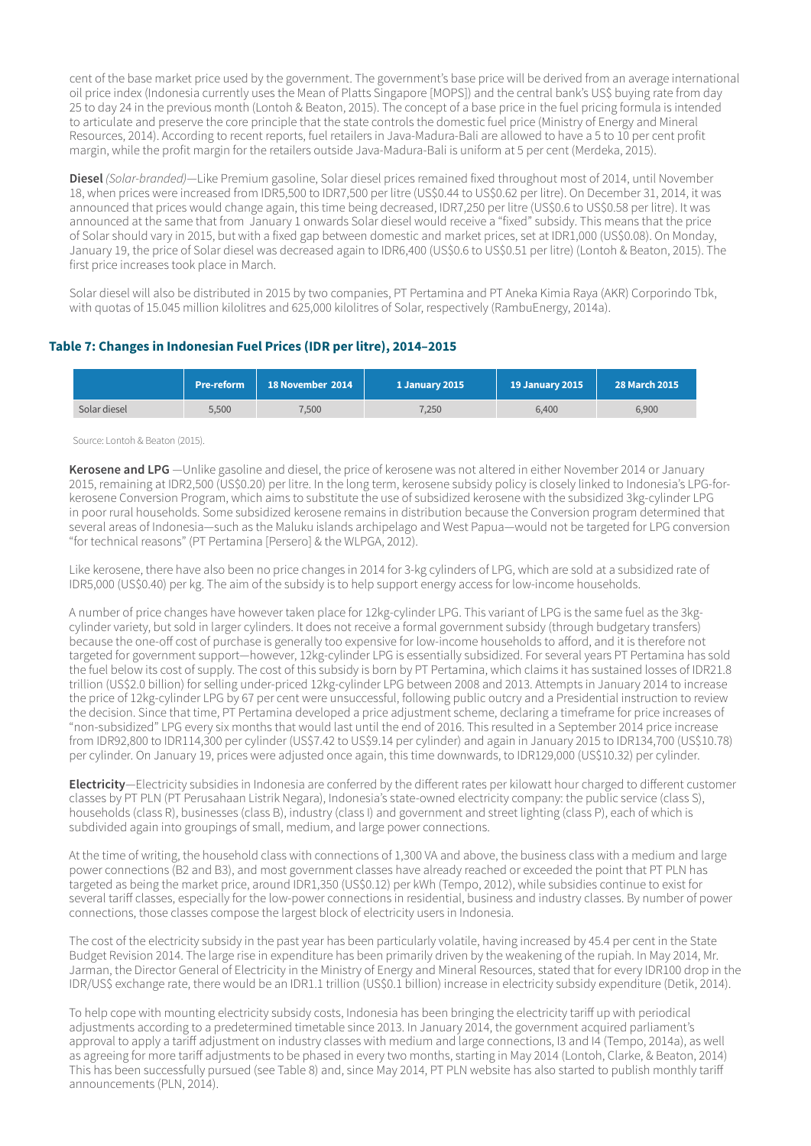cent of the base market price used by the government. The government's base price will be derived from an average international oil price index (Indonesia currently uses the Mean of Platts Singapore [MOPS]) and the central bank's US\$ buying rate from day 25 to day 24 in the previous month (Lontoh & Beaton, 2015). The concept of a base price in the fuel pricing formula is intended to articulate and preserve the core principle that the state controls the domestic fuel price (Ministry of Energy and Mineral Resources, 2014). According to recent reports, fuel retailers in Java-Madura-Bali are allowed to have a 5 to 10 per cent profit margin, while the profit margin for the retailers outside Java-Madura-Bali is uniform at 5 per cent (Merdeka, 2015).

**Diesel** *(Solar-branded)*—Like Premium gasoline, Solar diesel prices remained fixed throughout most of 2014, until November 18, when prices were increased from IDR5,500 to IDR7,500 per litre (US\$0.44 to US\$0.62 per litre). On December 31, 2014, it was announced that prices would change again, this time being decreased, IDR7,250 per litre (US\$0.6 to US\$0.58 per litre). It was announced at the same that from January 1 onwards Solar diesel would receive a "fixed" subsidy. This means that the price of Solar should vary in 2015, but with a fixed gap between domestic and market prices, set at IDR1,000 (US\$0.08). On Monday, January 19, the price of Solar diesel was decreased again to IDR6,400 (US\$0.6 to US\$0.51 per litre) (Lontoh & Beaton, 2015). The first price increases took place in March.

Solar diesel will also be distributed in 2015 by two companies, PT Pertamina and PT Aneka Kimia Raya (AKR) Corporindo Tbk, with quotas of 15.045 million kilolitres and 625,000 kilolitres of Solar, respectively (RambuEnergy, 2014a).

#### **Table 7: Changes in Indonesian Fuel Prices (IDR per litre), 2014–2015**

|              | <b>Pre-reform</b> | 18 November 2014 | 1 January 2015 | <b>19 January 2015</b> | <b>28 March 2015</b> |
|--------------|-------------------|------------------|----------------|------------------------|----------------------|
| Solar diesel | 5.500             | 7.500            | 7,250          | 6,400                  | 6.900                |

#### Source: Lontoh & Beaton (2015).

**Kerosene and LPG** —Unlike gasoline and diesel, the price of kerosene was not altered in either November 2014 or January 2015, remaining at IDR2,500 (US\$0.20) per litre. In the long term, kerosene subsidy policy is closely linked to Indonesia's LPG-forkerosene Conversion Program, which aims to substitute the use of subsidized kerosene with the subsidized 3kg-cylinder LPG in poor rural households. Some subsidized kerosene remains in distribution because the Conversion program determined that several areas of Indonesia―such as the Maluku islands archipelago and West Papua―would not be targeted for LPG conversion "for technical reasons" (PT Pertamina [Persero] & the WLPGA, 2012).

Like kerosene, there have also been no price changes in 2014 for 3-kg cylinders of LPG, which are sold at a subsidized rate of IDR5,000 (US\$0.40) per kg. The aim of the subsidy is to help support energy access for low-income households.

A number of price changes have however taken place for 12kg-cylinder LPG. This variant of LPG is the same fuel as the 3kgcylinder variety, but sold in larger cylinders. It does not receive a formal government subsidy (through budgetary transfers) because the one-off cost of purchase is generally too expensive for low-income households to afford, and it is therefore not targeted for government support―however, 12kg-cylinder LPG is essentially subsidized. For several years PT Pertamina has sold the fuel below its cost of supply. The cost of this subsidy is born by PT Pertamina, which claims it has sustained losses of IDR21.8 trillion (US\$2.0 billion) for selling under-priced 12kg-cylinder LPG between 2008 and 2013. Attempts in January 2014 to increase the price of 12kg-cylinder LPG by 67 per cent were unsuccessful, following public outcry and a Presidential instruction to review the decision. Since that time, PT Pertamina developed a price adjustment scheme, declaring a timeframe for price increases of "non-subsidized" LPG every six months that would last until the end of 2016. This resulted in a September 2014 price increase from IDR92,800 to IDR114,300 per cylinder (US\$7.42 to US\$9.14 per cylinder) and again in January 2015 to IDR134,700 (US\$10.78) per cylinder. On January 19, prices were adjusted once again, this time downwards, to IDR129,000 (US\$10.32) per cylinder.

**Electricity**—Electricity subsidies in Indonesia are conferred by the different rates per kilowatt hour charged to different customer classes by PT PLN (PT Perusahaan Listrik Negara), Indonesia's state-owned electricity company: the public service (class S), households (class R), businesses (class B), industry (class I) and government and street lighting (class P), each of which is subdivided again into groupings of small, medium, and large power connections.

At the time of writing, the household class with connections of 1,300 VA and above, the business class with a medium and large power connections (B2 and B3), and most government classes have already reached or exceeded the point that PT PLN has targeted as being the market price, around IDR1,350 (US\$0.12) per kWh (Tempo, 2012), while subsidies continue to exist for several tariff classes, especially for the low-power connections in residential, business and industry classes. By number of power connections, those classes compose the largest block of electricity users in Indonesia.

The cost of the electricity subsidy in the past year has been particularly volatile, having increased by 45.4 per cent in the State Budget Revision 2014. The large rise in expenditure has been primarily driven by the weakening of the rupiah. In May 2014, Mr. Jarman, the Director General of Electricity in the Ministry of Energy and Mineral Resources, stated that for every IDR100 drop in the IDR/US\$ exchange rate, there would be an IDR1.1 trillion (US\$0.1 billion) increase in electricity subsidy expenditure (Detik, 2014).

To help cope with mounting electricity subsidy costs, Indonesia has been bringing the electricity tariff up with periodical adjustments according to a predetermined timetable since 2013. In January 2014, the government acquired parliament's approval to apply a tariff adjustment on industry classes with medium and large connections, I3 and I4 (Tempo, 2014a), as well as agreeing for more tariff adjustments to be phased in every two months, starting in May 2014 (Lontoh, Clarke, & Beaton, 2014) This has been successfully pursued (see Table 8) and, since May 2014, PT PLN website has also started to publish monthly tariff announcements (PLN, 2014).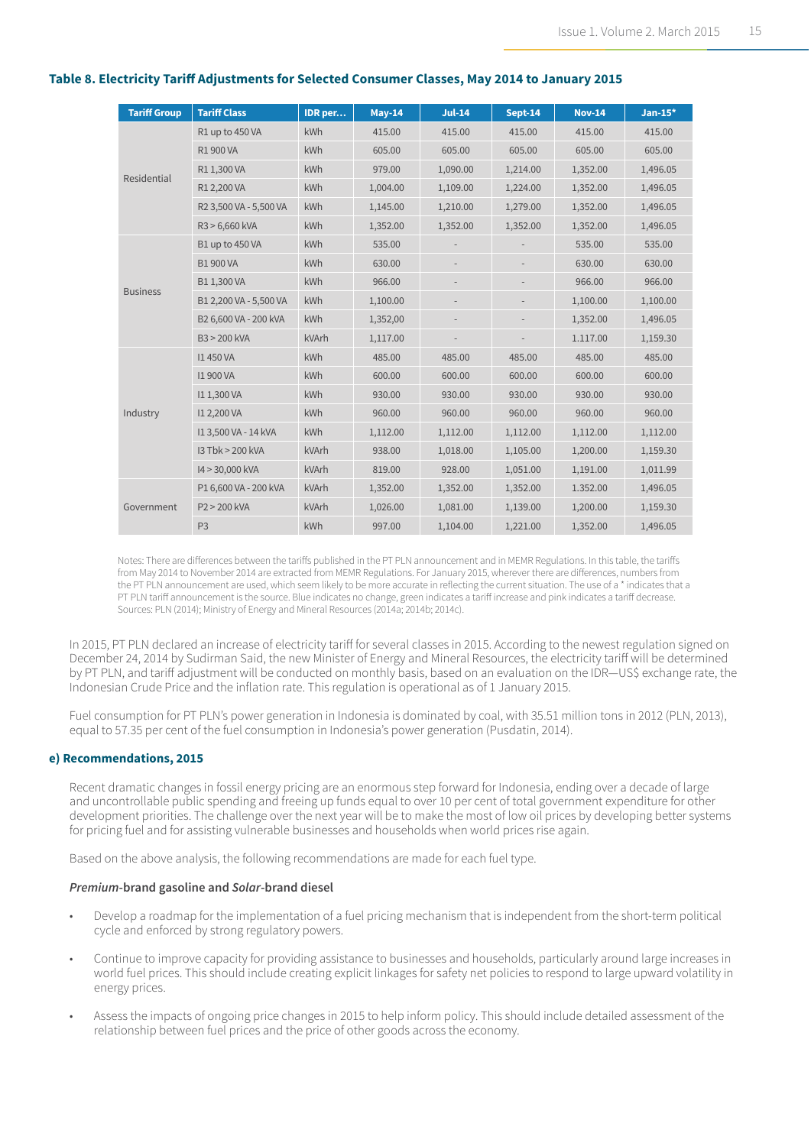| <b>Tariff Group</b> | <b>Tariff Class</b>    | <b>IDR</b> per | <b>May-14</b> | $Jul-14$ | Sept-14  | <b>Nov-14</b> | $Jan-15*$ |
|---------------------|------------------------|----------------|---------------|----------|----------|---------------|-----------|
|                     | R1 up to 450 VA        | kWh            | 415.00        | 415.00   | 415.00   | 415.00        | 415.00    |
|                     | R1 900 VA              | kWh            | 605.00        | 605.00   | 605.00   | 605.00        | 605.00    |
| Residential         | R1 1.300 VA            | kWh            | 979.00        | 1,090.00 | 1,214.00 | 1,352.00      | 1,496.05  |
|                     | R1 2,200 VA            | kWh            | 1,004.00      | 1,109.00 | 1,224.00 | 1,352.00      | 1,496.05  |
|                     | R2 3,500 VA - 5,500 VA | kWh            | 1,145.00      | 1,210.00 | 1,279.00 | 1,352.00      | 1,496.05  |
|                     | R3 > 6,660 kVA         | kWh            | 1,352.00      | 1,352.00 | 1,352.00 | 1,352.00      | 1,496.05  |
|                     | B1 up to 450 VA        | kWh            | 535.00        |          |          | 535.00        | 535.00    |
|                     | <b>B1 900 VA</b>       | kWh            | 630.00        |          |          | 630.00        | 630.00    |
| <b>Business</b>     | B11,300VA              | kWh            | 966.00        |          |          | 966.00        | 966.00    |
|                     | B1 2,200 VA - 5,500 VA | kWh            | 1,100.00      |          |          | 1,100.00      | 1,100.00  |
|                     | B2 6,600 VA - 200 kVA  | <b>kWh</b>     | 1,352,00      |          |          | 1,352.00      | 1,496.05  |
|                     | B3 > 200 kVA           | kVArh          | 1,117.00      |          |          | 1.117.00      | 1,159.30  |
|                     | <b>I1450 VA</b>        | <b>kWh</b>     | 485.00        | 485.00   | 485.00   | 485.00        | 485.00    |
|                     | <b>I1 900 VA</b>       | kWh            | 600.00        | 600.00   | 600.00   | 600.00        | 600.00    |
|                     | I1 1,300 VA            | kWh            | 930.00        | 930.00   | 930.00   | 930.00        | 930.00    |
| Industry            | I1 2,200 VA            | kWh            | 960.00        | 960.00   | 960.00   | 960.00        | 960.00    |
|                     | I13,500 VA - 14 kVA    | kWh            | 1,112.00      | 1,112.00 | 1,112.00 | 1,112.00      | 1,112.00  |
|                     | 13 Tbk > 200 kVA       | kVArh          | 938.00        | 1,018.00 | 1,105.00 | 1,200.00      | 1,159.30  |
|                     | I4 > 30,000 kVA        | kVArh          | 819.00        | 928.00   | 1,051.00 | 1,191.00      | 1,011.99  |
|                     | P1 6,600 VA - 200 kVA  | kVArh          | 1,352.00      | 1,352.00 | 1,352.00 | 1.352.00      | 1,496.05  |
| Government          | P2 > 200 kVA           | kVArh          | 1,026.00      | 1,081.00 | 1,139.00 | 1,200.00      | 1,159.30  |
|                     | P <sub>3</sub>         | kWh            | 997.00        | 1,104.00 | 1,221.00 | 1,352.00      | 1,496.05  |

#### **Table 8. Electricity Tariff Adjustments for Selected Consumer Classes, May 2014 to January 2015**

Notes: There are differences between the tariffs published in the PT PLN announcement and in MEMR Regulations. In this table, the tariffs from May 2014 to November 2014 are extracted from MEMR Regulations. For January 2015, wherever there are differences, numbers from the PT PLN announcement are used, which seem likely to be more accurate in reflecting the current situation. The use of a \* indicates that a PT PLN tariff announcement is the source. Blue indicates no change, green indicates a tariff increase and pink indicates a tariff decrease. Sources: PLN (2014); Ministry of Energy and Mineral Resources (2014a; 2014b; 2014c).

In 2015, PT PLN declared an increase of electricity tariff for several classes in 2015. According to the newest regulation signed on December 24, 2014 by Sudirman Said, the new Minister of Energy and Mineral Resources, the electricity tariff will be determined by PT PLN, and tariff adjustment will be conducted on monthly basis, based on an evaluation on the IDR—US\$ exchange rate, the Indonesian Crude Price and the inflation rate. This regulation is operational as of 1 January 2015.

Fuel consumption for PT PLN's power generation in Indonesia is dominated by coal, with 35.51 million tons in 2012 (PLN, 2013), equal to 57.35 per cent of the fuel consumption in Indonesia's power generation (Pusdatin, 2014).

#### **e) Recommendations, 2015**

Recent dramatic changes in fossil energy pricing are an enormous step forward for Indonesia, ending over a decade of large and uncontrollable public spending and freeing up funds equal to over 10 per cent of total government expenditure for other development priorities. The challenge over the next year will be to make the most of low oil prices by developing better systems for pricing fuel and for assisting vulnerable businesses and households when world prices rise again.

Based on the above analysis, the following recommendations are made for each fuel type.

#### *Premium***-brand gasoline and** *Solar***-brand diesel**

- Develop a roadmap for the implementation of a fuel pricing mechanism that is independent from the short-term political cycle and enforced by strong regulatory powers.
- Continue to improve capacity for providing assistance to businesses and households, particularly around large increases in world fuel prices. This should include creating explicit linkages for safety net policies to respond to large upward volatility in energy prices.
- Assess the impacts of ongoing price changes in 2015 to help inform policy. This should include detailed assessment of the relationship between fuel prices and the price of other goods across the economy.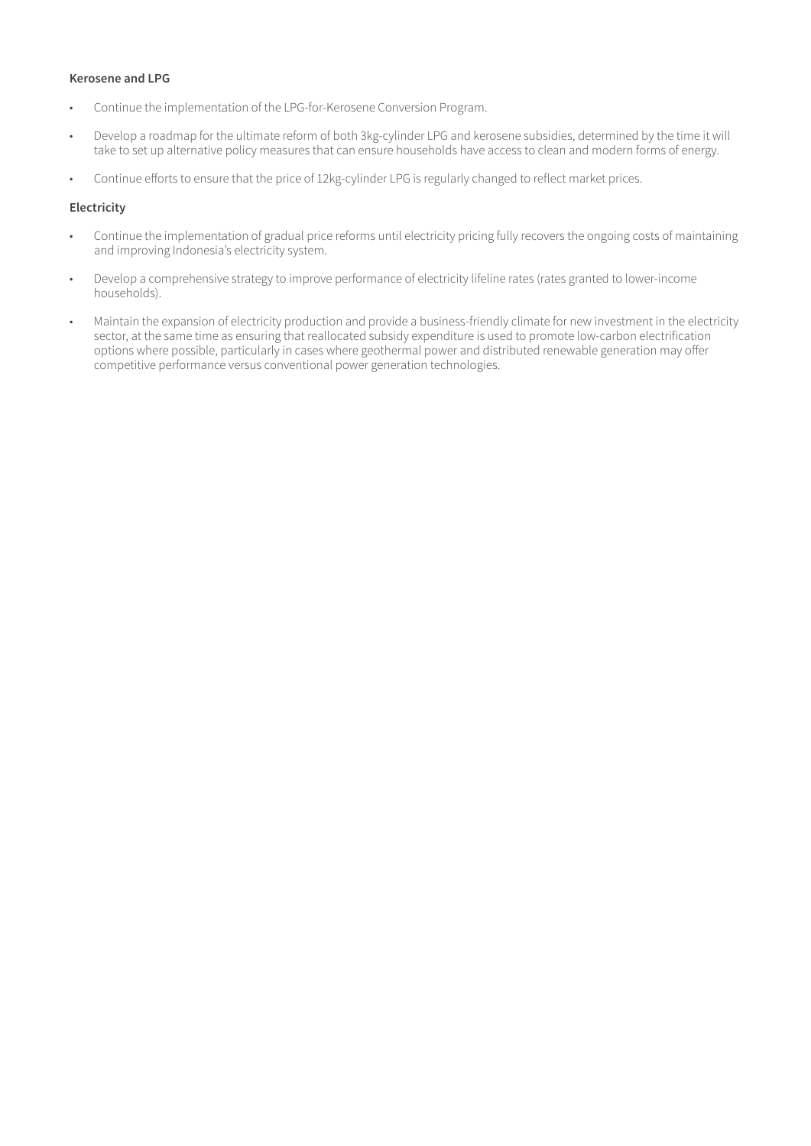#### **Kerosene and LPG**

- Continue the implementation of the LPG-for-Kerosene Conversion Program.
- Develop a roadmap for the ultimate reform of both 3kg-cylinder LPG and kerosene subsidies, determined by the time it will take to set up alternative policy measures that can ensure households have access to clean and modern forms of energy.
- Continue efforts to ensure that the price of 12kg-cylinder LPG is regularly changed to reflect market prices.

#### **Electricity**

- Continue the implementation of gradual price reforms until electricity pricing fully recovers the ongoing costs of maintaining and improving Indonesia's electricity system.
- Develop a comprehensive strategy to improve performance of electricity lifeline rates (rates granted to lower-income households).
- Maintain the expansion of electricity production and provide a business-friendly climate for new investment in the electricity sector, at the same time as ensuring that reallocated subsidy expenditure is used to promote low-carbon electrification options where possible, particularly in cases where geothermal power and distributed renewable generation may offer competitive performance versus conventional power generation technologies.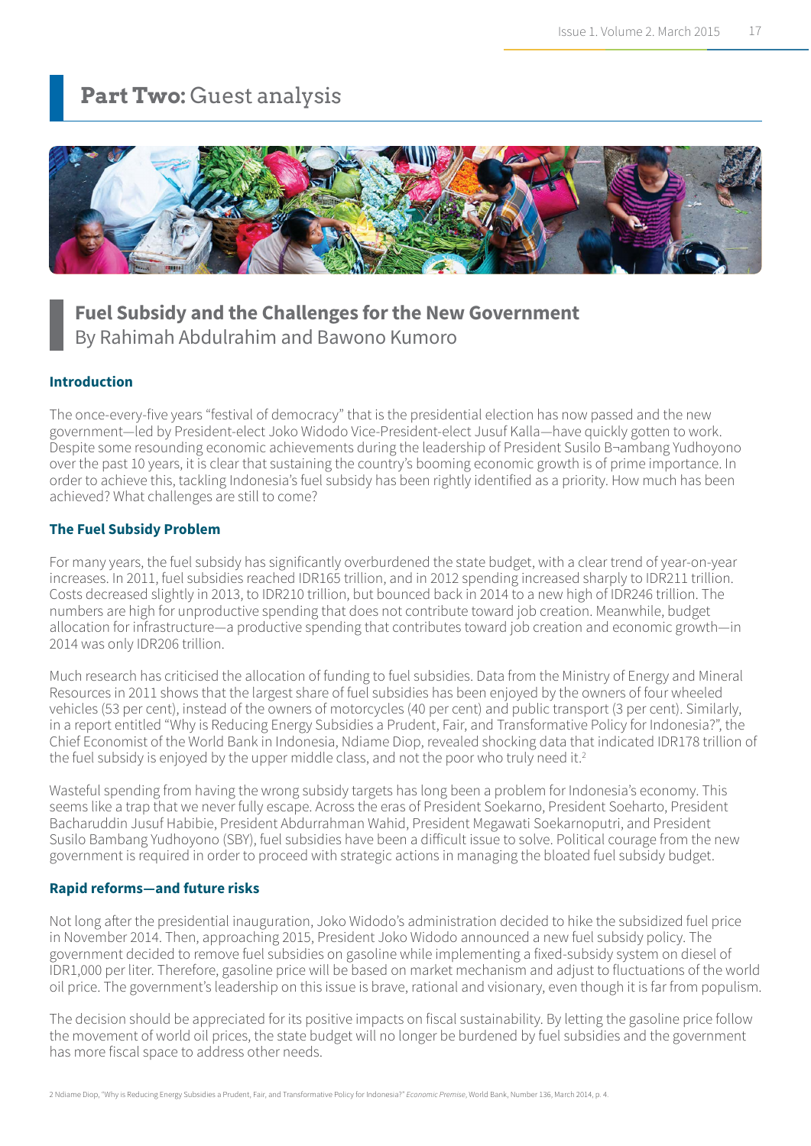### **Part Two: Guest analysis**



### **Fuel Subsidy and the Challenges for the New Government** By Rahimah Abdulrahim and Bawono Kumoro

#### **Introduction**

The once-every-five years "festival of democracy" that is the presidential election has now passed and the new government—led by President-elect Joko Widodo Vice-President-elect Jusuf Kalla—have quickly gotten to work. Despite some resounding economic achievements during the leadership of President Susilo B¬ambang Yudhoyono over the past 10 years, it is clear that sustaining the country's booming economic growth is of prime importance. In order to achieve this, tackling Indonesia's fuel subsidy has been rightly identified as a priority. How much has been achieved? What challenges are still to come?

#### **The Fuel Subsidy Problem**

For many years, the fuel subsidy has significantly overburdened the state budget, with a clear trend of year-on-year increases. In 2011, fuel subsidies reached IDR165 trillion, and in 2012 spending increased sharply to IDR211 trillion. Costs decreased slightly in 2013, to IDR210 trillion, but bounced back in 2014 to a new high of IDR246 trillion. The numbers are high for unproductive spending that does not contribute toward job creation. Meanwhile, budget allocation for infrastructure—a productive spending that contributes toward job creation and economic growth—in 2014 was only IDR206 trillion.

Much research has criticised the allocation of funding to fuel subsidies. Data from the Ministry of Energy and Mineral Resources in 2011 shows that the largest share of fuel subsidies has been enjoyed by the owners of four wheeled vehicles (53 per cent), instead of the owners of motorcycles (40 per cent) and public transport (3 per cent). Similarly, in a report entitled "Why is Reducing Energy Subsidies a Prudent, Fair, and Transformative Policy for Indonesia?", the Chief Economist of the World Bank in Indonesia, Ndiame Diop, revealed shocking data that indicated IDR178 trillion of the fuel subsidy is enjoyed by the upper middle class, and not the poor who truly need it.<sup>2</sup>

Wasteful spending from having the wrong subsidy targets has long been a problem for Indonesia's economy. This seems like a trap that we never fully escape. Across the eras of President Soekarno, President Soeharto, President Bacharuddin Jusuf Habibie, President Abdurrahman Wahid, President Megawati Soekarnoputri, and President Susilo Bambang Yudhoyono (SBY), fuel subsidies have been a difficult issue to solve. Political courage from the new government is required in order to proceed with strategic actions in managing the bloated fuel subsidy budget.

#### **Rapid reforms―and future risks**

Not long after the presidential inauguration, Joko Widodo's administration decided to hike the subsidized fuel price in November 2014. Then, approaching 2015, President Joko Widodo announced a new fuel subsidy policy. The government decided to remove fuel subsidies on gasoline while implementing a fixed-subsidy system on diesel of IDR1,000 per liter. Therefore, gasoline price will be based on market mechanism and adjust to fluctuations of the world oil price. The government's leadership on this issue is brave, rational and visionary, even though it is far from populism.

The decision should be appreciated for its positive impacts on fiscal sustainability. By letting the gasoline price follow the movement of world oil prices, the state budget will no longer be burdened by fuel subsidies and the government has more fiscal space to address other needs.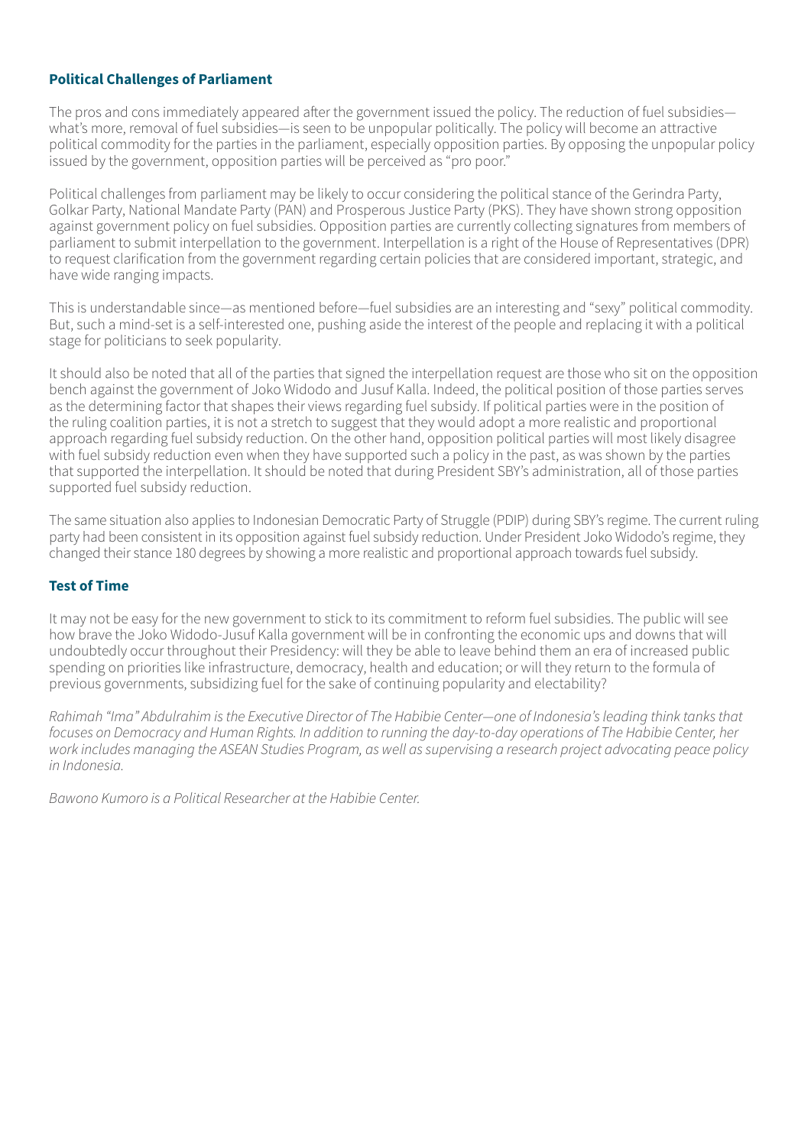#### **Political Challenges of Parliament**

The pros and cons immediately appeared after the government issued the policy. The reduction of fuel subsidies what's more, removal of fuel subsidies—is seen to be unpopular politically. The policy will become an attractive political commodity for the parties in the parliament, especially opposition parties. By opposing the unpopular policy issued by the government, opposition parties will be perceived as "pro poor."

Political challenges from parliament may be likely to occur considering the political stance of the Gerindra Party, Golkar Party, National Mandate Party (PAN) and Prosperous Justice Party (PKS). They have shown strong opposition against government policy on fuel subsidies. Opposition parties are currently collecting signatures from members of parliament to submit interpellation to the government. Interpellation is a right of the House of Representatives (DPR) to request clarification from the government regarding certain policies that are considered important, strategic, and have wide ranging impacts.

This is understandable since—as mentioned before—fuel subsidies are an interesting and "sexy" political commodity. But, such a mind-set is a self-interested one, pushing aside the interest of the people and replacing it with a political stage for politicians to seek popularity.

It should also be noted that all of the parties that signed the interpellation request are those who sit on the opposition bench against the government of Joko Widodo and Jusuf Kalla. Indeed, the political position of those parties serves as the determining factor that shapes their views regarding fuel subsidy. If political parties were in the position of the ruling coalition parties, it is not a stretch to suggest that they would adopt a more realistic and proportional approach regarding fuel subsidy reduction. On the other hand, opposition political parties will most likely disagree with fuel subsidy reduction even when they have supported such a policy in the past, as was shown by the parties that supported the interpellation. It should be noted that during President SBY's administration, all of those parties supported fuel subsidy reduction.

The same situation also applies to Indonesian Democratic Party of Struggle (PDIP) during SBY's regime. The current ruling party had been consistent in its opposition against fuel subsidy reduction. Under President Joko Widodo's regime, they changed their stance 180 degrees by showing a more realistic and proportional approach towards fuel subsidy.

#### **Test of Time**

It may not be easy for the new government to stick to its commitment to reform fuel subsidies. The public will see how brave the Joko Widodo-Jusuf Kalla government will be in confronting the economic ups and downs that will undoubtedly occur throughout their Presidency: will they be able to leave behind them an era of increased public spending on priorities like infrastructure, democracy, health and education; or will they return to the formula of previous governments, subsidizing fuel for the sake of continuing popularity and electability?

*Rahimah "Ima" Abdulrahim is the Executive Director of The Habibie Center—one of Indonesia's leading think tanks that focuses on Democracy and Human Rights. In addition to running the day-to-day operations of The Habibie Center, her work includes managing the ASEAN Studies Program, as well as supervising a research project advocating peace policy in Indonesia.*

*Bawono Kumoro is a Political Researcher at the Habibie Center.*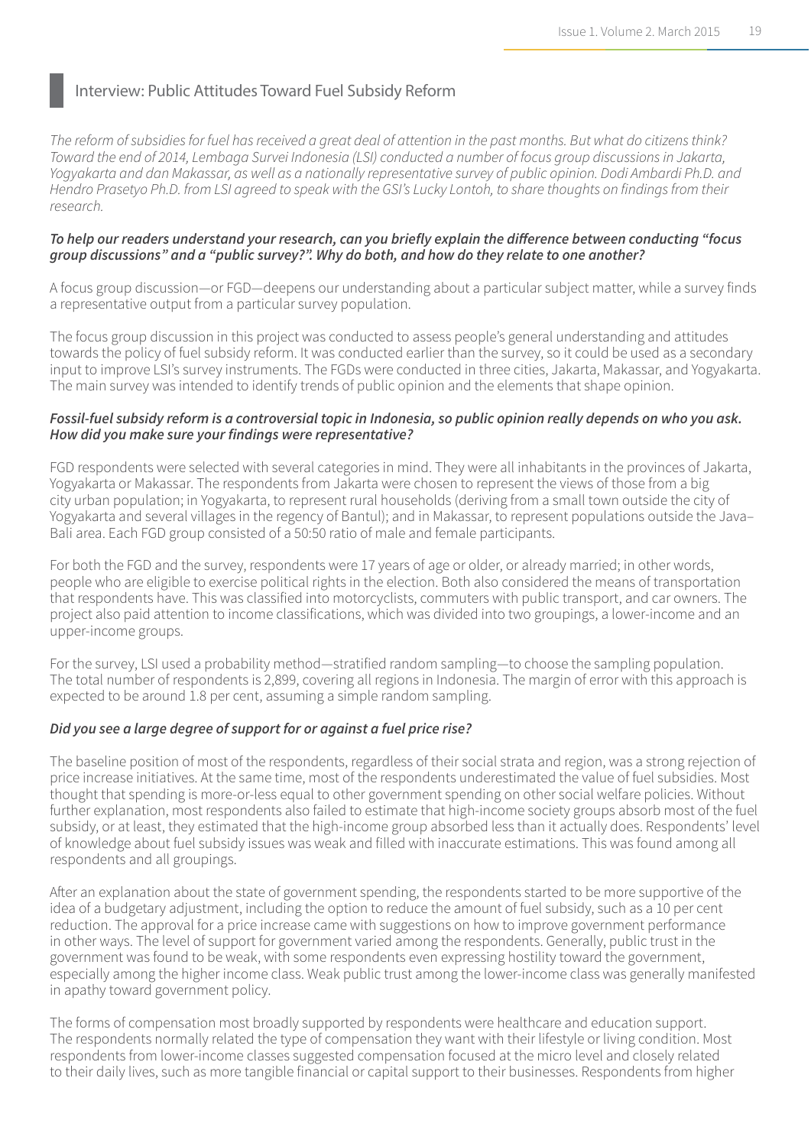### Interview: Public Attitudes Toward Fuel Subsidy Reform

*The reform of subsidies for fuel has received a great deal of attention in the past months. But what do citizens think? Toward the end of 2014, Lembaga Survei Indonesia (LSI) conducted a number of focus group discussions in Jakarta, Yogyakarta and dan Makassar, as well as a nationally representative survey of public opinion. Dodi Ambardi Ph.D. and Hendro Prasetyo Ph.D. from LSI agreed to speak with the GSI's Lucky Lontoh, to share thoughts on findings from their research.*

#### *To help our readers understand your research, can you briefly explain the difference between conducting "focus group discussions" and a "public survey?". Why do both, and how do they relate to one another?*

A focus group discussion—or FGD—deepens our understanding about a particular subject matter, while a survey finds a representative output from a particular survey population.

The focus group discussion in this project was conducted to assess people's general understanding and attitudes towards the policy of fuel subsidy reform. It was conducted earlier than the survey, so it could be used as a secondary input to improve LSI's survey instruments. The FGDs were conducted in three cities, Jakarta, Makassar, and Yogyakarta. The main survey was intended to identify trends of public opinion and the elements that shape opinion.

#### *Fossil-fuel subsidy reform is a controversial topic in Indonesia, so public opinion really depends on who you ask. How did you make sure your findings were representative?*

FGD respondents were selected with several categories in mind. They were all inhabitants in the provinces of Jakarta, Yogyakarta or Makassar. The respondents from Jakarta were chosen to represent the views of those from a big city urban population; in Yogyakarta, to represent rural households (deriving from a small town outside the city of Yogyakarta and several villages in the regency of Bantul); and in Makassar, to represent populations outside the Java– Bali area. Each FGD group consisted of a 50:50 ratio of male and female participants.

For both the FGD and the survey, respondents were 17 years of age or older, or already married; in other words, people who are eligible to exercise political rights in the election. Both also considered the means of transportation that respondents have. This was classified into motorcyclists, commuters with public transport, and car owners. The project also paid attention to income classifications, which was divided into two groupings, a lower-income and an upper-income groups.

For the survey, LSI used a probability method—stratified random sampling—to choose the sampling population. The total number of respondents is 2,899, covering all regions in Indonesia. The margin of error with this approach is expected to be around 1.8 per cent, assuming a simple random sampling.

#### *Did you see a large degree of support for or against a fuel price rise?*

The baseline position of most of the respondents, regardless of their social strata and region, was a strong rejection of price increase initiatives. At the same time, most of the respondents underestimated the value of fuel subsidies. Most thought that spending is more-or-less equal to other government spending on other social welfare policies. Without further explanation, most respondents also failed to estimate that high-income society groups absorb most of the fuel subsidy, or at least, they estimated that the high-income group absorbed less than it actually does. Respondents' level of knowledge about fuel subsidy issues was weak and filled with inaccurate estimations. This was found among all respondents and all groupings.

After an explanation about the state of government spending, the respondents started to be more supportive of the idea of a budgetary adjustment, including the option to reduce the amount of fuel subsidy, such as a 10 per cent reduction. The approval for a price increase came with suggestions on how to improve government performance in other ways. The level of support for government varied among the respondents. Generally, public trust in the government was found to be weak, with some respondents even expressing hostility toward the government, especially among the higher income class. Weak public trust among the lower-income class was generally manifested in apathy toward government policy.

The forms of compensation most broadly supported by respondents were healthcare and education support. The respondents normally related the type of compensation they want with their lifestyle or living condition. Most respondents from lower-income classes suggested compensation focused at the micro level and closely related to their daily lives, such as more tangible financial or capital support to their businesses. Respondents from higher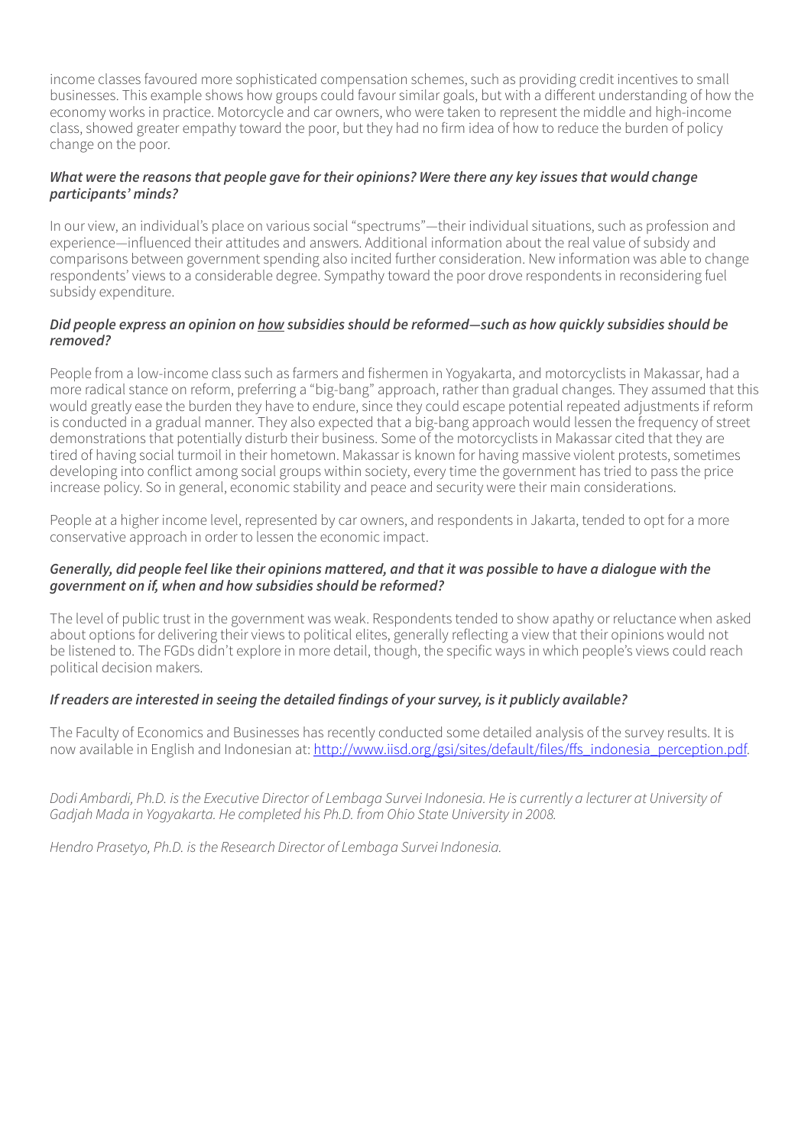income classes favoured more sophisticated compensation schemes, such as providing credit incentives to small businesses. This example shows how groups could favour similar goals, but with a different understanding of how the economy works in practice. Motorcycle and car owners, who were taken to represent the middle and high-income class, showed greater empathy toward the poor, but they had no firm idea of how to reduce the burden of policy change on the poor.

#### *What were the reasons that people gave for their opinions? Were there any key issues that would change participants' minds?*

In our view, an individual's place on various social "spectrums"—their individual situations, such as profession and experience—influenced their attitudes and answers. Additional information about the real value of subsidy and comparisons between government spending also incited further consideration. New information was able to change respondents' views to a considerable degree. Sympathy toward the poor drove respondents in reconsidering fuel subsidy expenditure.

#### *Did people express an opinion on how subsidies should be reformed—such as how quickly subsidies should be removed?*

People from a low-income class such as farmers and fishermen in Yogyakarta, and motorcyclists in Makassar, had a more radical stance on reform, preferring a "big-bang" approach, rather than gradual changes. They assumed that this would greatly ease the burden they have to endure, since they could escape potential repeated adjustments if reform is conducted in a gradual manner. They also expected that a big-bang approach would lessen the frequency of street demonstrations that potentially disturb their business. Some of the motorcyclists in Makassar cited that they are tired of having social turmoil in their hometown. Makassar is known for having massive violent protests, sometimes developing into conflict among social groups within society, every time the government has tried to pass the price increase policy. So in general, economic stability and peace and security were their main considerations.

People at a higher income level, represented by car owners, and respondents in Jakarta, tended to opt for a more conservative approach in order to lessen the economic impact.

#### *Generally, did people feel like their opinions mattered, and that it was possible to have a dialogue with the government on if, when and how subsidies should be reformed?*

The level of public trust in the government was weak. Respondents tended to show apathy or reluctance when asked about options for delivering their views to political elites, generally reflecting a view that their opinions would not be listened to. The FGDs didn't explore in more detail, though, the specific ways in which people's views could reach political decision makers.

#### *If readers are interested in seeing the detailed findings of your survey, is it publicly available?*

The Faculty of Economics and Businesses has recently conducted some detailed analysis of the survey results. It is now available in English and Indonesian at: [http://www.iisd.org/gsi/sites/default/files/ffs\\_indonesia\\_perception.pdf](http://www.iisd.org/gsi/sites/default/files/ffs_indonesia_perception.pdf).

*Dodi Ambardi, Ph.D. is the Executive Director of Lembaga Survei Indonesia. He is currently a lecturer at University of Gadjah Mada in Yogyakarta. He completed his Ph.D. from Ohio State University in 2008.*

*Hendro Prasetyo, Ph.D. is the Research Director of Lembaga Survei Indonesia.*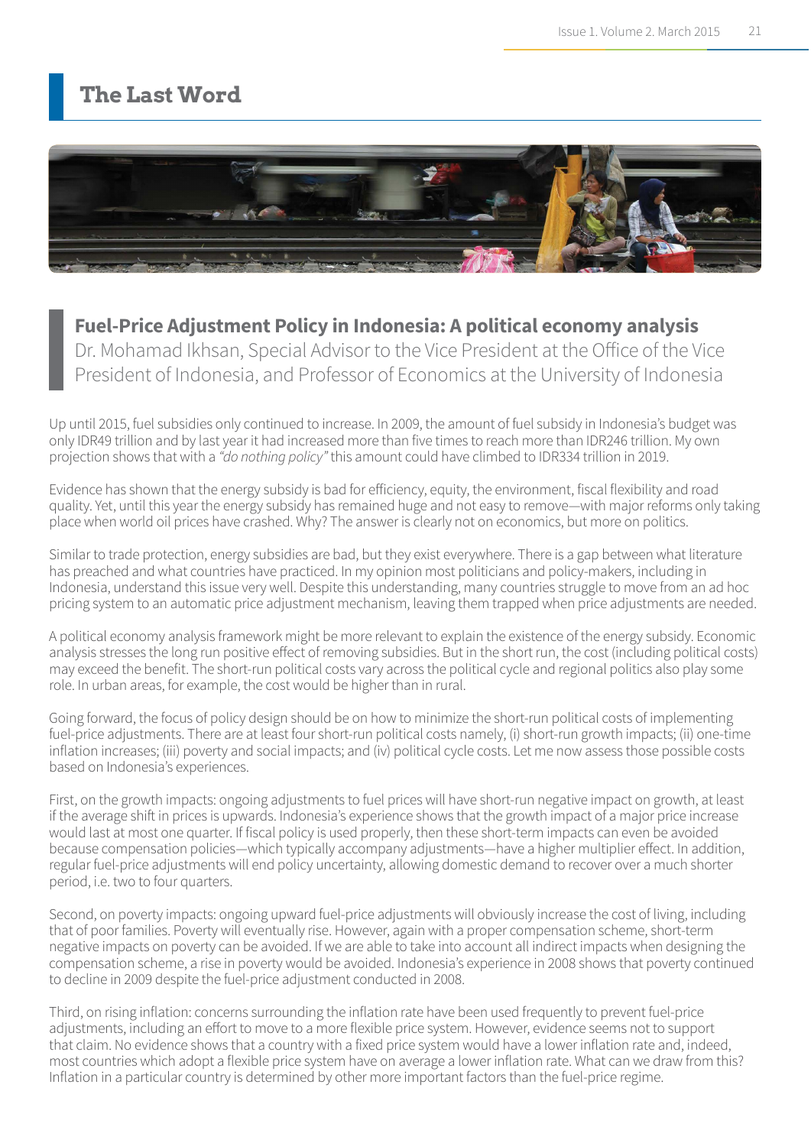### **The Last Word**



### **Fuel-Price Adjustment Policy in Indonesia: A political economy analysis**

Dr. Mohamad Ikhsan, Special Advisor to the Vice President at the Office of the Vice President of Indonesia, and Professor of Economics at the University of Indonesia

Up until 2015, fuel subsidies only continued to increase. In 2009, the amount of fuel subsidy in Indonesia's budget was only IDR49 trillion and by last year it had increased more than five times to reach more than IDR246 trillion. My own projection shows that with a *"do nothing policy"* this amount could have climbed to IDR334 trillion in 2019.

Evidence has shown that the energy subsidy is bad for efficiency, equity, the environment, fiscal flexibility and road quality. Yet, until this year the energy subsidy has remained huge and not easy to remove―with major reforms only taking place when world oil prices have crashed. Why? The answer is clearly not on economics, but more on politics.

Similar to trade protection, energy subsidies are bad, but they exist everywhere. There is a gap between what literature has preached and what countries have practiced. In my opinion most politicians and policy-makers, including in Indonesia, understand this issue very well. Despite this understanding, many countries struggle to move from an ad hoc pricing system to an automatic price adjustment mechanism, leaving them trapped when price adjustments are needed.

A political economy analysis framework might be more relevant to explain the existence of the energy subsidy. Economic analysis stresses the long run positive effect of removing subsidies. But in the short run, the cost (including political costs) may exceed the benefit. The short-run political costs vary across the political cycle and regional politics also play some role. In urban areas, for example, the cost would be higher than in rural.

Going forward, the focus of policy design should be on how to minimize the short-run political costs of implementing fuel-price adjustments. There are at least four short-run political costs namely, (i) short-run growth impacts; (ii) one-time inflation increases; (iii) poverty and social impacts; and (iv) political cycle costs. Let me now assess those possible costs based on Indonesia's experiences.

First, on the growth impacts: ongoing adjustments to fuel prices will have short-run negative impact on growth, at least if the average shift in prices is upwards. Indonesia's experience shows that the growth impact of a major price increase would last at most one quarter. If fiscal policy is used properly, then these short-term impacts can even be avoided because compensation policies―which typically accompany adjustments―have a higher multiplier effect. In addition, regular fuel-price adjustments will end policy uncertainty, allowing domestic demand to recover over a much shorter period, i.e. two to four quarters.

Second, on poverty impacts: ongoing upward fuel-price adjustments will obviously increase the cost of living, including that of poor families. Poverty will eventually rise. However, again with a proper compensation scheme, short-term negative impacts on poverty can be avoided. If we are able to take into account all indirect impacts when designing the compensation scheme, a rise in poverty would be avoided. Indonesia's experience in 2008 shows that poverty continued to decline in 2009 despite the fuel-price adjustment conducted in 2008.

Third, on rising inflation: concerns surrounding the inflation rate have been used frequently to prevent fuel-price adjustments, including an effort to move to a more flexible price system. However, evidence seems not to support that claim. No evidence shows that a country with a fixed price system would have a lower inflation rate and, indeed, most countries which adopt a flexible price system have on average a lower inflation rate. What can we draw from this? Inflation in a particular country is determined by other more important factors than the fuel-price regime.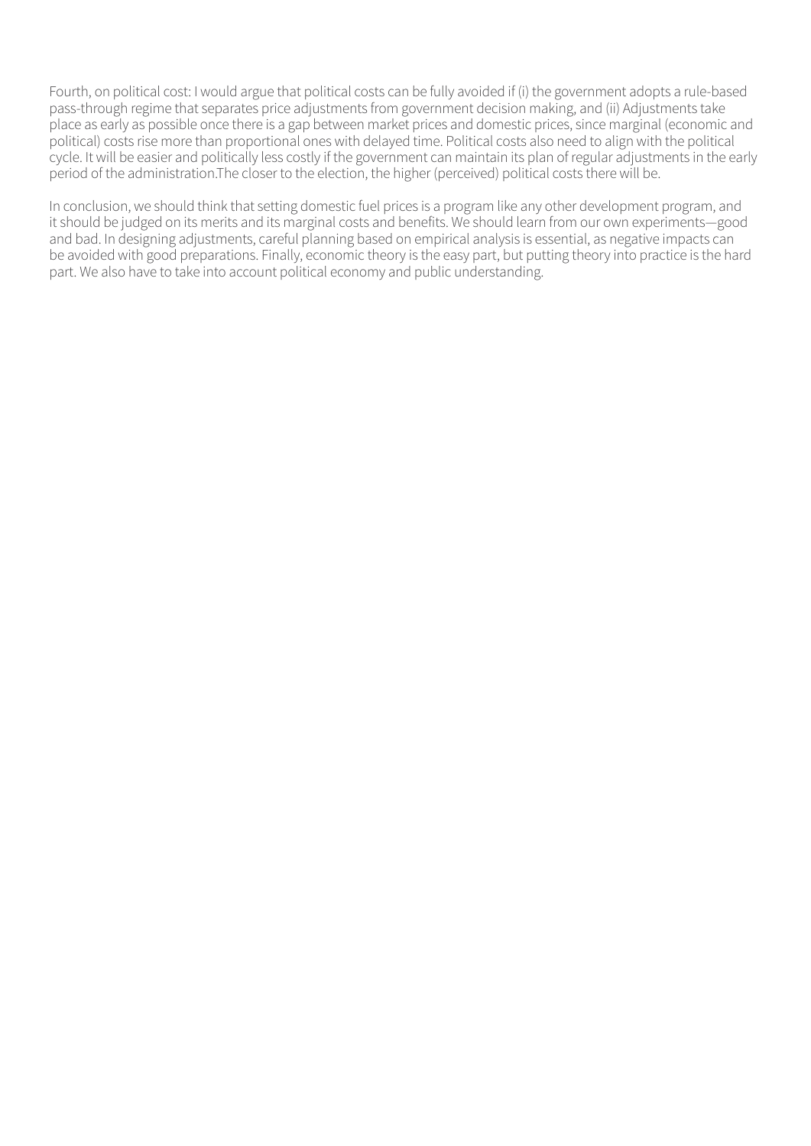Fourth, on political cost: I would argue that political costs can be fully avoided if (i) the government adopts a rule-based pass-through regime that separates price adjustments from government decision making, and (ii) Adjustments take place as early as possible once there is a gap between market prices and domestic prices, since marginal (economic and political) costs rise more than proportional ones with delayed time. Political costs also need to align with the political cycle. It will be easier and politically less costly if the government can maintain its plan of regular adjustments in the early period of the administration.The closer to the election, the higher (perceived) political costs there will be.

In conclusion, we should think that setting domestic fuel prices is a program like any other development program, and it should be judged on its merits and its marginal costs and benefits. We should learn from our own experiments―good and bad. In designing adjustments, careful planning based on empirical analysis is essential, as negative impacts can be avoided with good preparations. Finally, economic theory is the easy part, but putting theory into practice is the hard part. We also have to take into account political economy and public understanding.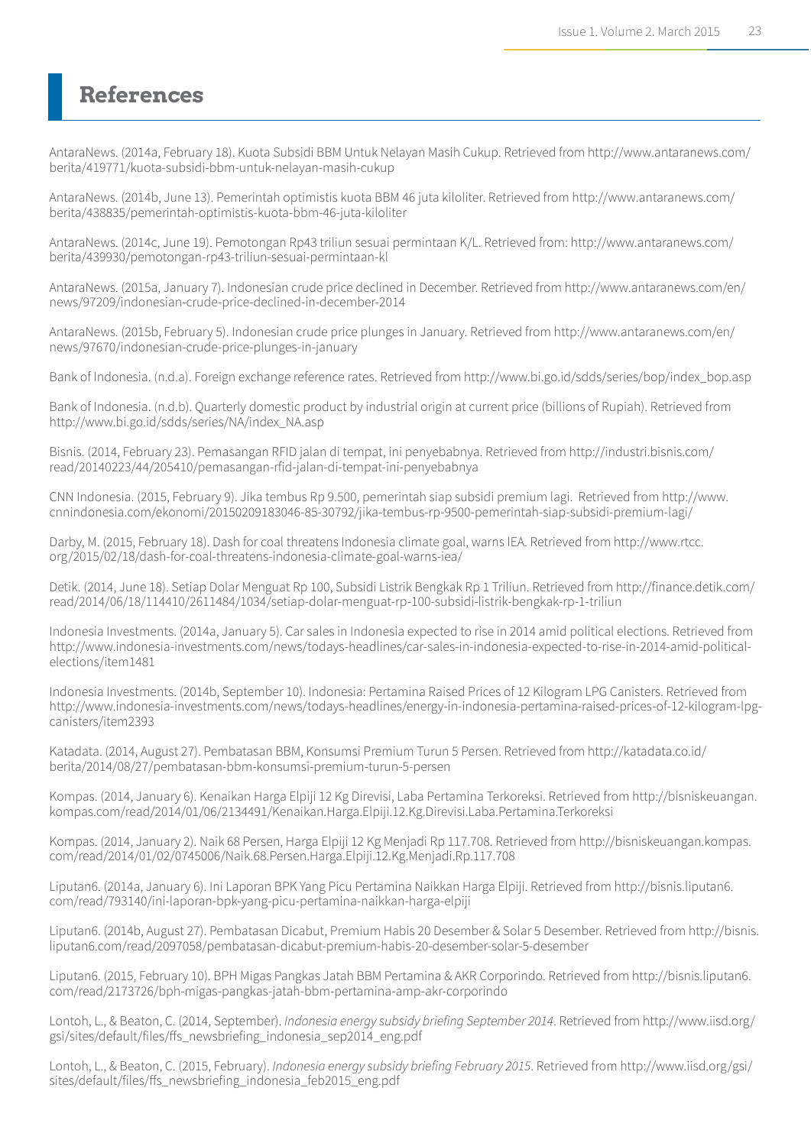### **References**

AntaraNews. (2014a, February 18). Kuota Subsidi BBM Untuk Nelayan Masih Cukup. Retrieved from http://www.antaranews.com/ berita/419771/kuota-subsidi-bbm-untuk-nelayan-masih-cukup

AntaraNews. (2014b, June 13). Pemerintah optimistis kuota BBM 46 juta kiloliter. Retrieved from http://www.antaranews.com/ berita/438835/pemerintah-optimistis-kuota-bbm-46-juta-kiloliter

AntaraNews. (2014c, June 19). Pemotongan Rp43 triliun sesuai permintaan K/L. Retrieved from: http://www.antaranews.com/ berita/439930/pemotongan-rp43-triliun-sesuai-permintaan-kl

AntaraNews. (2015a, January 7). Indonesian crude price declined in December. Retrieved from http://www.antaranews.com/en/ news/97209/indonesian-crude-price-declined-in-december-2014

AntaraNews. (2015b, February 5). Indonesian crude price plunges in January. Retrieved from http://www.antaranews.com/en/ news/97670/indonesian-crude-price-plunges-in-january

Bank of Indonesia. (n.d.a). Foreign exchange reference rates. Retrieved from http://www.bi.go.id/sdds/series/bop/index\_bop.asp

Bank of Indonesia. (n.d.b). Quarterly domestic product by industrial origin at current price (billions of Rupiah). Retrieved from http://www.bi.go.id/sdds/series/NA/index\_NA.asp

Bisnis. (2014, February 23). Pemasangan RFID jalan di tempat, ini penyebabnya. Retrieved from http://industri.bisnis.com/ read/20140223/44/205410/pemasangan-rfid-jalan-di-tempat-ini-penyebabnya

CNN Indonesia. (2015, February 9). Jika tembus Rp 9.500, pemerintah siap subsidi premium lagi. Retrieved from http://www. cnnindonesia.com/ekonomi/20150209183046-85-30792/jika-tembus-rp-9500-pemerintah-siap-subsidi-premium-lagi/

Darby, M. (2015, February 18). Dash for coal threatens Indonesia climate goal, warns IEA. Retrieved from http://www.rtcc. org/2015/02/18/dash-for-coal-threatens-indonesia-climate-goal-warns-iea/

Detik. (2014, June 18). Setiap Dolar Menguat Rp 100, Subsidi Listrik Bengkak Rp 1 Triliun. Retrieved from http://finance.detik.com/ read/2014/06/18/114410/2611484/1034/setiap-dolar-menguat-rp-100-subsidi-listrik-bengkak-rp-1-triliun

Indonesia Investments. (2014a, January 5). Car sales in Indonesia expected to rise in 2014 amid political elections. Retrieved from http://www.indonesia-investments.com/news/todays-headlines/car-sales-in-indonesia-expected-to-rise-in-2014-amid-politicalelections/item1481

Indonesia Investments. (2014b, September 10). Indonesia: Pertamina Raised Prices of 12 Kilogram LPG Canisters. Retrieved from http://www.indonesia-investments.com/news/todays-headlines/energy-in-indonesia-pertamina-raised-prices-of-12-kilogram-lpgcanisters/item2393

Katadata. (2014, August 27). Pembatasan BBM, Konsumsi Premium Turun 5 Persen. Retrieved from http://katadata.co.id/ berita/2014/08/27/pembatasan-bbm-konsumsi-premium-turun-5-persen

Kompas. (2014, January 6). Kenaikan Harga Elpiji 12 Kg Direvisi, Laba Pertamina Terkoreksi. Retrieved from http://bisniskeuangan. kompas.com/read/2014/01/06/2134491/Kenaikan.Harga.Elpiji.12.Kg.Direvisi.Laba.Pertamina.Terkoreksi

Kompas. (2014, January 2). Naik 68 Persen, Harga Elpiji 12 Kg Menjadi Rp 117.708. Retrieved from http://bisniskeuangan.kompas. com/read/2014/01/02/0745006/Naik.68.Persen.Harga.Elpiji.12.Kg.Menjadi.Rp.117.708

Liputan6. (2014a, January 6). Ini Laporan BPK Yang Picu Pertamina Naikkan Harga Elpiji. Retrieved from http://bisnis.liputan6. com/read/793140/ini-laporan-bpk-yang-picu-pertamina-naikkan-harga-elpiji

Liputan6. (2014b, August 27). Pembatasan Dicabut, Premium Habis 20 Desember & Solar 5 Desember. Retrieved from http://bisnis. liputan6.com/read/2097058/pembatasan-dicabut-premium-habis-20-desember-solar-5-desember

Liputan6. (2015, February 10). BPH Migas Pangkas Jatah BBM Pertamina & AKR Corporindo. Retrieved from http://bisnis.liputan6. com/read/2173726/bph-migas-pangkas-jatah-bbm-pertamina-amp-akr-corporindo

Lontoh, L., & Beaton, C. (2014, September). *Indonesia energy subsidy briefing September 2014*. Retrieved from http://www.iisd.org/ gsi/sites/default/files/ffs\_newsbriefing\_indonesia\_sep2014\_eng.pdf

Lontoh, L., & Beaton, C. (2015, February). *Indonesia energy subsidy briefing February 2015*. Retrieved from http://www.iisd.org/gsi/ sites/default/files/ffs\_newsbriefing\_indonesia\_feb2015\_eng.pdf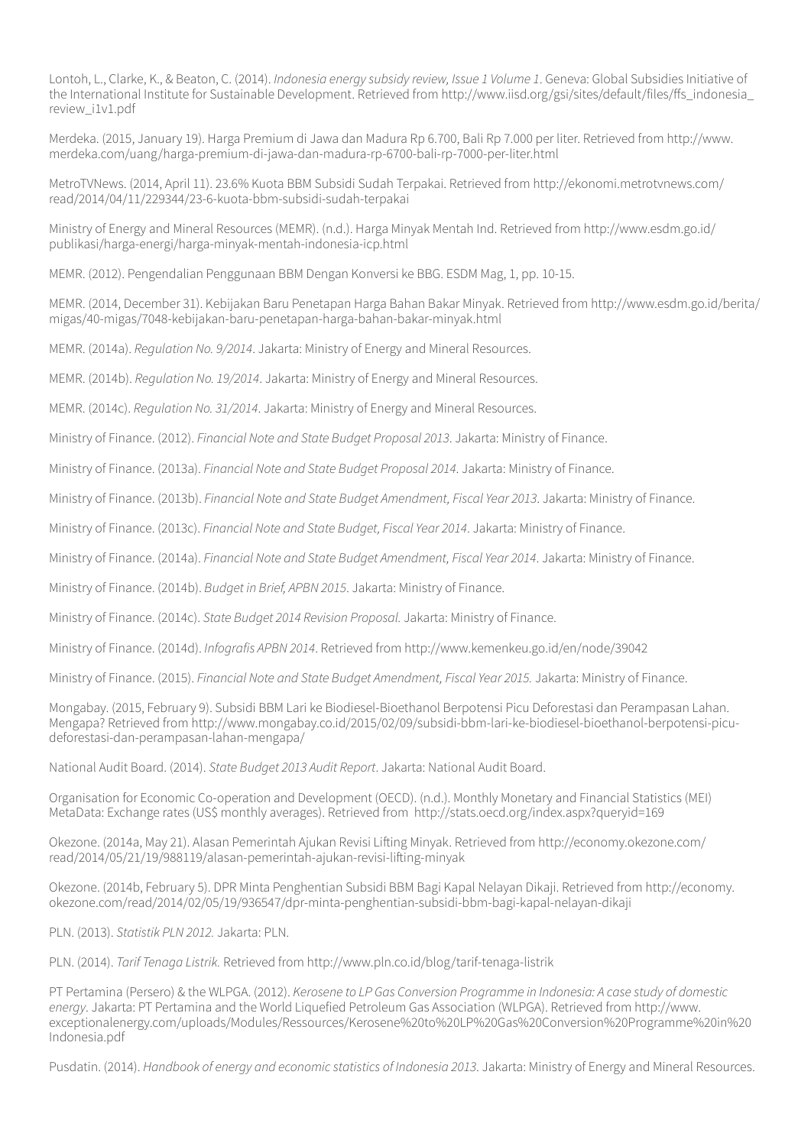Lontoh, L., Clarke, K., & Beaton, C. (2014). *Indonesia energy subsidy review, Issue 1 Volume 1*. Geneva: Global Subsidies Initiative of the International Institute for Sustainable Development. Retrieved from http://www.iisd.org/gsi/sites/default/files/ffs\_indonesia\_ review\_i1v1.pdf

Merdeka. (2015, January 19). Harga Premium di Jawa dan Madura Rp 6.700, Bali Rp 7.000 per liter. Retrieved from http://www. merdeka.com/uang/harga-premium-di-jawa-dan-madura-rp-6700-bali-rp-7000-per-liter.html

MetroTVNews. (2014, April 11). 23.6% Kuota BBM Subsidi Sudah Terpakai. Retrieved from http://ekonomi.metrotvnews.com/ read/2014/04/11/229344/23-6-kuota-bbm-subsidi-sudah-terpakai

Ministry of Energy and Mineral Resources (MEMR). (n.d.). Harga Minyak Mentah Ind. Retrieved from http://www.esdm.go.id/ publikasi/harga-energi/harga-minyak-mentah-indonesia-icp.html

MEMR. (2012). Pengendalian Penggunaan BBM Dengan Konversi ke BBG. ESDM Mag, 1, pp. 10-15.

MEMR. (2014, December 31). Kebijakan Baru Penetapan Harga Bahan Bakar Minyak. Retrieved from http://www.esdm.go.id/berita/ migas/40-migas/7048-kebijakan-baru-penetapan-harga-bahan-bakar-minyak.html

MEMR. (2014a). *Regulation No. 9/2014*. Jakarta: Ministry of Energy and Mineral Resources.

MEMR. (2014b). *Regulation No. 19/2014*. Jakarta: Ministry of Energy and Mineral Resources.

MEMR. (2014c). *Regulation No. 31/2014*. Jakarta: Ministry of Energy and Mineral Resources.

Ministry of Finance. (2012). *Financial Note and State Budget Proposal 2013*. Jakarta: Ministry of Finance.

Ministry of Finance. (2013a). *Financial Note and State Budget Proposal 2014*. Jakarta: Ministry of Finance.

Ministry of Finance. (2013b). *Financial Note and State Budget Amendment, Fiscal Year 2013*. Jakarta: Ministry of Finance.

Ministry of Finance. (2013c). *Financial Note and State Budget, Fiscal Year 2014*. Jakarta: Ministry of Finance.

Ministry of Finance. (2014a). *Financial Note and State Budget Amendment, Fiscal Year 2014*. Jakarta: Ministry of Finance.

Ministry of Finance. (2014b). *Budget in Brief, APBN 2015*. Jakarta: Ministry of Finance.

Ministry of Finance. (2014c). *State Budget 2014 Revision Proposal.* Jakarta: Ministry of Finance.

Ministry of Finance. (2014d). *Infografis APBN 2014*. Retrieved from http://www.kemenkeu.go.id/en/node/39042

Ministry of Finance. (2015). *Financial Note and State Budget Amendment, Fiscal Year 2015.* Jakarta: Ministry of Finance.

Mongabay. (2015, February 9). Subsidi BBM Lari ke Biodiesel-Bioethanol Berpotensi Picu Deforestasi dan Perampasan Lahan. Mengapa? Retrieved from http://www.mongabay.co.id/2015/02/09/subsidi-bbm-lari-ke-biodiesel-bioethanol-berpotensi-picudeforestasi-dan-perampasan-lahan-mengapa/

National Audit Board. (2014). *State Budget 2013 Audit Report*. Jakarta: National Audit Board.

Organisation for Economic Co-operation and Development (OECD). (n.d.). Monthly Monetary and Financial Statistics (MEI) MetaData: Exchange rates (US\$ monthly averages). Retrieved from http://stats.oecd.org/index.aspx?queryid=169

Okezone. (2014a, May 21). Alasan Pemerintah Ajukan Revisi Lifting Minyak. Retrieved from http://economy.okezone.com/ read/2014/05/21/19/988119/alasan-pemerintah-ajukan-revisi-lifting-minyak

Okezone. (2014b, February 5). DPR Minta Penghentian Subsidi BBM Bagi Kapal Nelayan Dikaji. Retrieved from http://economy. okezone.com/read/2014/02/05/19/936547/dpr-minta-penghentian-subsidi-bbm-bagi-kapal-nelayan-dikaji

PLN. (2013). *Statistik PLN 2012.* Jakarta: PLN.

PLN. (2014). *Tarif Tenaga Listrik.* Retrieved from http://www.pln.co.id/blog/tarif-tenaga-listrik

PT Pertamina (Persero) & the WLPGA. (2012). *Kerosene to LP Gas Conversion Programme in Indonesia: A case study of domestic energy*. Jakarta: PT Pertamina and the World Liquefied Petroleum Gas Association (WLPGA). Retrieved from http://www. exceptionalenergy.com/uploads/Modules/Ressources/Kerosene%20to%20LP%20Gas%20Conversion%20Programme%20in%20 Indonesia.pdf

Pusdatin. (2014). *Handbook of energy and economic statistics of Indonesia 2013*. Jakarta: Ministry of Energy and Mineral Resources.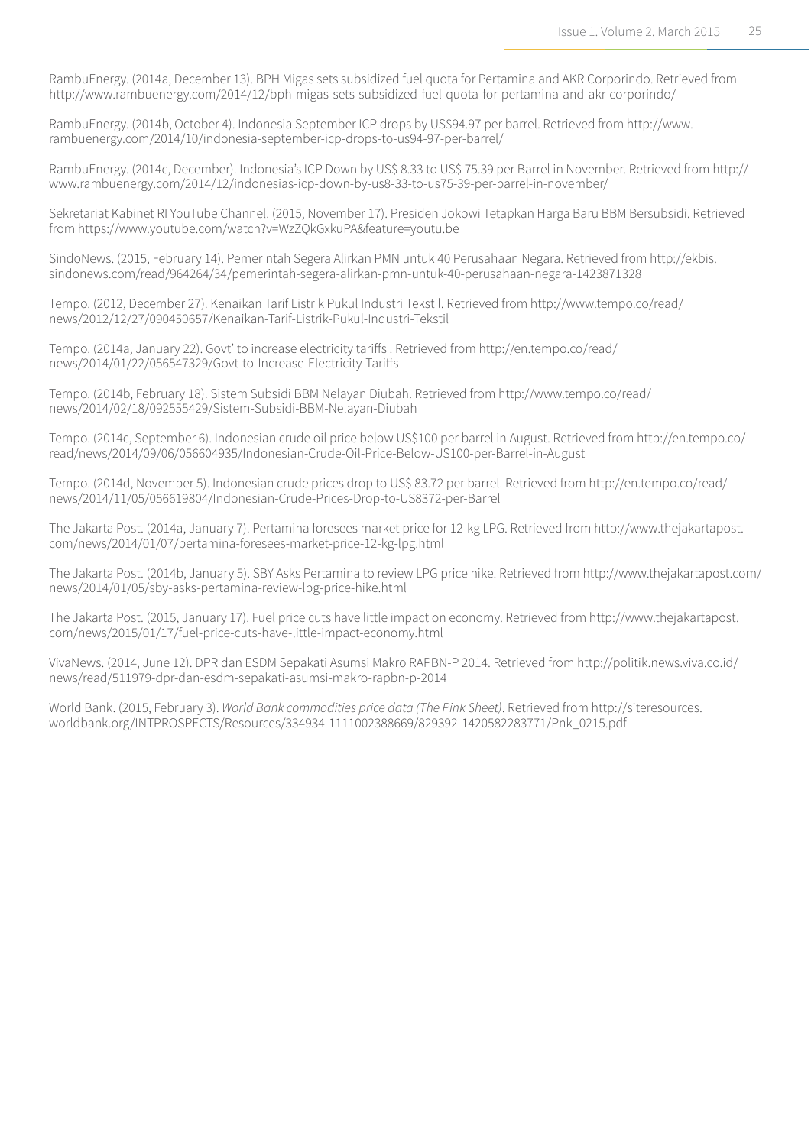RambuEnergy. (2014a, December 13). BPH Migas sets subsidized fuel quota for Pertamina and AKR Corporindo. Retrieved from http://www.rambuenergy.com/2014/12/bph-migas-sets-subsidized-fuel-quota-for-pertamina-and-akr-corporindo/

RambuEnergy. (2014b, October 4). Indonesia September ICP drops by US\$94.97 per barrel. Retrieved from http://www. rambuenergy.com/2014/10/indonesia-september-icp-drops-to-us94-97-per-barrel/

RambuEnergy. (2014c, December). Indonesia's ICP Down by US\$ 8.33 to US\$ 75.39 per Barrel in November. Retrieved from http:// www.rambuenergy.com/2014/12/indonesias-icp-down-by-us8-33-to-us75-39-per-barrel-in-november/

Sekretariat Kabinet RI YouTube Channel. (2015, November 17). Presiden Jokowi Tetapkan Harga Baru BBM Bersubsidi. Retrieved from https://www.youtube.com/watch?v=WzZQkGxkuPA&feature=youtu.be

SindoNews. (2015, February 14). Pemerintah Segera Alirkan PMN untuk 40 Perusahaan Negara. Retrieved from http://ekbis. sindonews.com/read/964264/34/pemerintah-segera-alirkan-pmn-untuk-40-perusahaan-negara-1423871328

Tempo. (2012, December 27). Kenaikan Tarif Listrik Pukul Industri Tekstil. Retrieved from http://www.tempo.co/read/ news/2012/12/27/090450657/Kenaikan-Tarif-Listrik-Pukul-Industri-Tekstil

Tempo. (2014a, January 22). Govt' to increase electricity tariffs . Retrieved from http://en.tempo.co/read/ news/2014/01/22/056547329/Govt-to-Increase-Electricity-Tariffs

Tempo. (2014b, February 18). Sistem Subsidi BBM Nelayan Diubah. Retrieved from http://www.tempo.co/read/ news/2014/02/18/092555429/Sistem-Subsidi-BBM-Nelayan-Diubah

Tempo. (2014c, September 6). Indonesian crude oil price below US\$100 per barrel in August. Retrieved from http://en.tempo.co/ read/news/2014/09/06/056604935/Indonesian-Crude-Oil-Price-Below-US100-per-Barrel-in-August

Tempo. (2014d, November 5). Indonesian crude prices drop to US\$ 83.72 per barrel. Retrieved from http://en.tempo.co/read/ news/2014/11/05/056619804/Indonesian-Crude-Prices-Drop-to-US8372-per-Barrel

The Jakarta Post. (2014a, January 7). Pertamina foresees market price for 12-kg LPG. Retrieved from http://www.thejakartapost. com/news/2014/01/07/pertamina-foresees-market-price-12-kg-lpg.html

The Jakarta Post. (2014b, January 5). SBY Asks Pertamina to review LPG price hike. Retrieved from http://www.thejakartapost.com/ news/2014/01/05/sby-asks-pertamina-review-lpg-price-hike.html

The Jakarta Post. (2015, January 17). Fuel price cuts have little impact on economy. Retrieved from http://www.thejakartapost. com/news/2015/01/17/fuel-price-cuts-have-little-impact-economy.html

VivaNews. (2014, June 12). DPR dan ESDM Sepakati Asumsi Makro RAPBN-P 2014. Retrieved from http://politik.news.viva.co.id/ news/read/511979-dpr-dan-esdm-sepakati-asumsi-makro-rapbn-p-2014

World Bank. (2015, February 3). *World Bank commodities price data (The Pink Sheet)*. Retrieved from http://siteresources. worldbank.org/INTPROSPECTS/Resources/334934-1111002388669/829392-1420582283771/Pnk\_0215.pdf